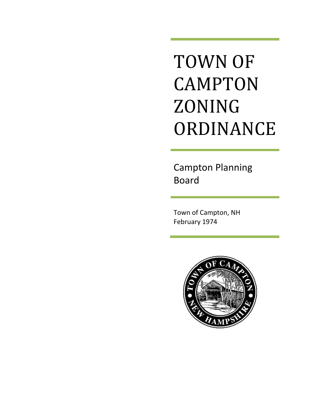# TOWN OF CAMPTON ZONING ORDINANCE

Campton Planning Board

Town of Campton, NH February 1974

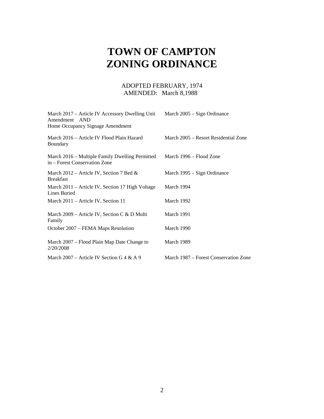# **TOWN OF CAMPTON ZONING ORDINANCE**

## ADOPTED FEBRUARY, 1974 AMENDED: March 8,1988

| March 2017 – Article IV Accessory Dwelling Unit<br>Amendment AND<br>Home Occupancy Signage Amendment | March 2005 – Sign Ordinance           |
|------------------------------------------------------------------------------------------------------|---------------------------------------|
| March 2016 – Article IV Flood Plain Hazard<br>Boundary                                               | March 2005 – Resort Residential Zone  |
| March 2016 – Multiple Family Dwelling Permitted<br>in – Forest Conservation Zone                     | March 1996 – Flood Zone               |
| March 2012 – Article IV, Section 7 Bed $\&$<br>Breakfast                                             | March 1995 – Sign Ordinance           |
| March 2011 – Article IV, Section 17 High Voltage<br>Lines Buried                                     | March 1994                            |
| March 2011 – Article IV, Section 11                                                                  | March 1992                            |
| March 2009 – Article IV, Section C & D Multi<br>Family                                               | March 1991                            |
| October 2007 – FEMA Maps Resolution                                                                  | March 1990                            |
| March 2007 – Flood Plain Map Date Change to<br>2/20/2008                                             | March 1989                            |
| March 2007 – Article IV Section G 4 & A 9                                                            | March 1987 – Forest Conservation Zone |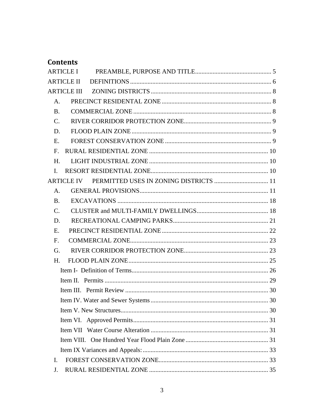# **Contents**

|                 | <b>ARTICLE II</b> |  |
|-----------------|-------------------|--|
|                 |                   |  |
| A.              |                   |  |
| <b>B.</b>       |                   |  |
| $C_{\cdot}$     |                   |  |
| D.              |                   |  |
| E.              |                   |  |
| F <sub>r</sub>  |                   |  |
| H.              |                   |  |
| $\mathbf{I}$ .  |                   |  |
|                 |                   |  |
| $A_{\cdot}$     |                   |  |
| <b>B.</b>       |                   |  |
| $\mathcal{C}$ . |                   |  |
| D.              |                   |  |
| Е.              |                   |  |
| F <sub>r</sub>  |                   |  |
| G.              |                   |  |
| H <sub>1</sub>  |                   |  |
|                 |                   |  |
|                 |                   |  |
|                 |                   |  |
|                 |                   |  |
|                 |                   |  |
|                 |                   |  |
|                 |                   |  |
|                 |                   |  |
|                 |                   |  |
| I.              |                   |  |
| J.              |                   |  |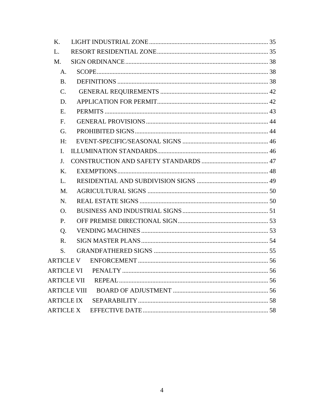| K.                  |  |
|---------------------|--|
| L.                  |  |
| $M_{\cdot}$         |  |
| A.                  |  |
| <b>B.</b>           |  |
| $\mathcal{C}$ .     |  |
| D.                  |  |
| E.                  |  |
| F.                  |  |
| G.                  |  |
| H:                  |  |
| L.                  |  |
| J.                  |  |
| K.                  |  |
| L.                  |  |
| M.                  |  |
| N.                  |  |
| Ο.                  |  |
| P.                  |  |
| Q.                  |  |
| $R_{\cdot}$         |  |
| S.                  |  |
|                     |  |
|                     |  |
|                     |  |
| <b>ARTICLE VIII</b> |  |
| <b>ARTICLE IX</b>   |  |
| <b>ARTICLE X</b>    |  |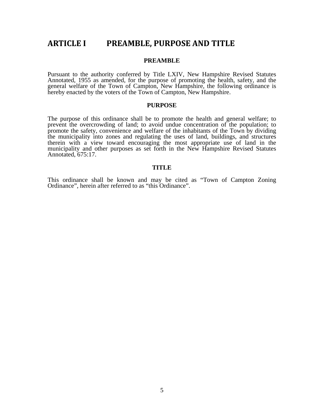# **ARTICLE I PREAMBLE, PURPOSE AND TITLE**

#### **PREAMBLE**

Pursuant to the authority conferred by Title LXIV, New Hampshire Revised Statutes Annotated, 1955 as amended, for the purpose of promoting the health, safety, and the general welfare of the Town of Campton, New Hampshire, the following ordinance is hereby enacted by the voters of the Town of Campton, New Hampshire.

#### **PURPOSE**

The purpose of this ordinance shall be to promote the health and general welfare; to prevent the overcrowding of land; to avoid undue concentration of the population; to promote the safety, convenience and welfare of the inhabitants of the Town by dividing the municipality into zones and regulating the uses of land, buildings, and structures therein with a view toward encouraging the most appropriate use of land in the municipality and other purposes as set forth in the New Hampshire Revised Statutes Annotated, 675:17.

#### **TITLE**

This ordinance shall be known and may be cited as "Town of Campton Zoning Ordinance", herein after referred to as "this Ordinance".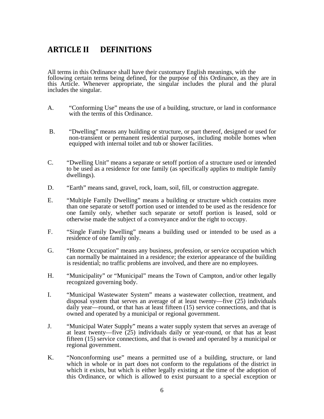# **ARTICLE II DEFINITIONS**

All terms in this Ordinance shall have their customary English meanings, with the following certain terms being defined, for the purpose of this Ordinance, as they are in this Article. Whenever appropriate, the singular includes the plural and the plural includes the singular.

- A. "Conforming Use" means the use of a building, structure, or land in conformance with the terms of this Ordinance.
- B. "Dwelling" means any building or structure, or part thereof, designed or used for non-transient or permanent residential purposes, including mobile homes when equipped with internal toilet and tub or shower facilities.
- C. "Dwelling Unit" means a separate or setoff portion of a structure used or intended to be used as a residence for one family (as specifically applies to multiple family dwellings).
- D. "Earth" means sand, gravel, rock, loam, soil, fill, or construction aggregate.
- E. "Multiple Family Dwelling" means a building or structure which contains more than one separate or setoff portion used or intended to be used as the residence for one family only, whether such separate or setoff portion is leased, sold or otherwise made the subject of a conveyance and/or the right to occupy.
- F. "Single Family Dwelling" means a building used or intended to be used as a residence of one family only.
- G. "Home Occupation" means any business, profession, or service occupation which can normally be maintained in a residence; the exterior appearance of the building is residential; no traffic problems are involved, and there are no employees.
- H. "Municipality" or "Municipal" means the Town of Campton, and/or other legally recognized governing body.
- I. "Municipal Wastewater System" means a wastewater collection, treatment, and disposal system that serves an average of at least twenty—five (25) individuals daily year—round, or that has at least fifteen (15) service connections, and that is owned and operated by a municipal or regional government.
- J. "Municipal Water Supply" means a water supply system that serves an average of at least twenty—five  $(25)$  individuals daily or year-round, or that has at least fifteen (15) service connections, and that is owned and operated by a municipal or regional government.
- K. "Nonconforming use" means a permitted use of a building, structure, or land which in whole or in part does not conform to the regulations of the district in which it exists, but which is either legally existing at the time of the adoption of this Ordinance, or which is allowed to exist pursuant to a special exception or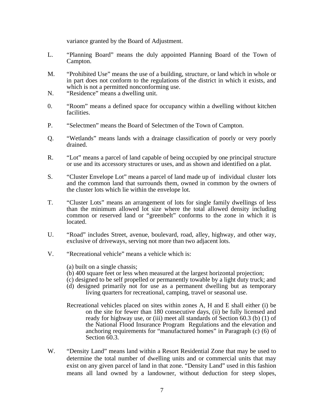variance granted by the Board of Adjustment.

- L. "Planning Board" means the duly appointed Planning Board of the Town of Campton.
- M. "Prohibited Use" means the use of a building, structure, or land which in whole or in part does not conform to the regulations of the district in which it exists, and which is not a permitted nonconforming use.
- N. "Residence" means a dwelling unit.
- 0. "Room" means a defined space for occupancy within a dwelling without kitchen facilities.
- P. "Selectmen" means the Board of Selectmen of the Town of Campton.
- Q. "Wetlands" means lands with a drainage classification of poorly or very poorly drained.
- R. "Lot" means a parcel of land capable of being occupied by one principal structure or use and its accessory structures or uses, and as shown and identified on a plat.
- S. "Cluster Envelope Lot" means a parcel of land made up of individual cluster lots and the common land that surrounds them, owned in common by the owners of the cluster lots which lie within the envelope lot.
- T. "Cluster Lots" means an arrangement of lots for single family dwellings of less than the minimum allowed lot size where the total allowed density including common or reserved land or "greenbelt" conforms to the zone in which it is located.
- U. "Road" includes Street, avenue, boulevard, road, alley, highway, and other way, exclusive of driveways, serving not more than two adjacent lots.
- V. "Recreational vehicle" means a vehicle which is:

(a) built on a single chassis;

- (b) 400 square feet or less when measured at the largest horizontal projection;
- (c) designed to be self propelled or permanently towable by a light duty truck; and
- (d) designed primarily not for use as a permanent dwelling but as temporary living quarters for recreational, camping, travel or seasonal use.
- Recreational vehicles placed on sites within zones A, H and E shall either (i) be on the site for fewer than 180 consecutive days, (ii) be fully licensed and ready for highway use, or (iii) meet all standards of Section 60.3 (b) (1) of the National Flood Insurance Program Regulations and the elevation and anchoring requirements for "manufactured homes" in Paragraph (c) (6) of Section 60.3.
- W. "Density Land" means land within a Resort Residential Zone that may be used to determine the total number of dwelling units and or commercial units that may exist on any given parcel of land in that zone. "Density Land" used in this fashion means all land owned by a landowner, without deduction for steep slopes,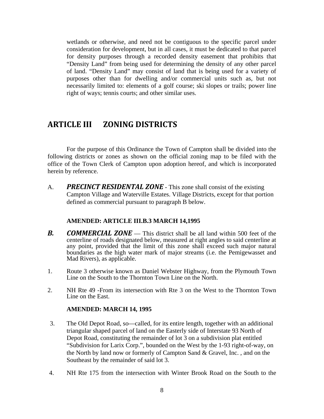wetlands or otherwise, and need not be contiguous to the specific parcel under consideration for development, but in all cases, it must be dedicated to that parcel for density purposes through a recorded density easement that prohibits that "Density Land" from being used for determining the density of any other parcel of land. "Density Land" may consist of land that is being used for a variety of purposes other than for dwelling and/or commercial units such as, but not necessarily limited to: elements of a golf course; ski slopes or trails; power line right of ways; tennis courts; and other similar uses.

# **ARTICLE III ZONING DISTRICTS**

For the purpose of this Ordinance the Town of Campton shall be divided into the following districts or zones as shown on the official zoning map to be filed with the office of the Town Clerk of Campton upon adoption hereof, and which is incorporated herein by reference.

A. *PRECINCT RESIDENTAL ZONE* - This zone shall consist of the existing Campton Village and Waterville Estates. Village Districts, except for that portion defined as commercial pursuant to paragraph B below.

#### **AMENDED: ARTICLE III.B.3 MARCH 14,1995**

- *B. COMMERCIAL ZONE* This district shall be all land within 500 feet of the centerline of roads designated below, measured at right angles to said centerline at any point, provided that the limit of this zone shall exceed such major natural boundaries as the high water mark of major streams (i.e. the Pemigewasset and Mad Rivers), as applicable.
- 1. Route 3 otherwise known as Daniel Webster Highway, from the Plymouth Town Line on the South to the Thornton Town Line on the North.
- 2. NH Rte 49 -From its intersection with Rte 3 on the West to the Thornton Town Line on the East.

#### **AMENDED: MARCH 14, 1995**

- 3. The Old Depot Road, so—called, for its entire length, together with an additional triangular shaped parcel of land on the Easterly side of Interstate 93 North of Depot Road, constituting the remainder of lot 3 on a subdivision plat entitled "Subdivision for Larix Corp.", bounded on the West by the 1-93 right-of-way, on the North by land now or formerly of Campton Sand & Gravel, Inc. , and on the Southeast by the remainder of said lot 3.
- 4. NH Rte 175 from the intersection with Winter Brook Road on the South to the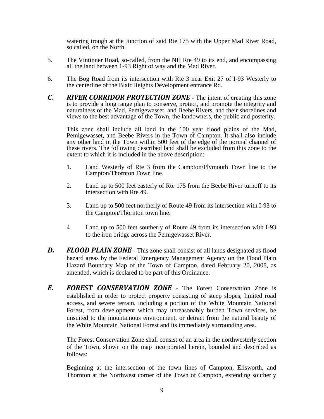watering trough at the Junction of said Rte 175 with the Upper Mad River Road, so called, on the North.

- 5. The Vintinner Road, so-called, from the NH Rte 49 to its end, and encompassing all the land between 1-93 Right of way and the Mad River.
- 6. The Bog Road from its intersection with Rte 3 near Exit 27 of I-93 Westerly to the centerline of the Blair Heights Development entrance Rd.
- *C. RIVER CORRIDOR PROTECTION ZONE* The intent of creating this zone is to provide a long range plan to conserve, protect, and promote the integrity and naturalness of the Mad, Pemigewasset, and Beebe Rivers, and their shorelines and views to the best advantage of the Town, the landowners, the public and posterity.

This zone shall include all land in the 100 year flood plains of the Mad, Pemigewasset, and Beebe Rivers in the Town of Campton. It shall also include any other land in the Town within 500 feet of the edge of the normal channel of these rivers. The following described land shall be excluded from this zone to the extent to which it is included in the above description:

- 1. Land Westerly of Rte 3 from the Campton/Plymouth Town line to the Campton/Thornton Town line.
- 2. Land up to 500 feet easterly of Rte 175 from the Beebe River turnoff to its intersection with Rte 49.
- 3. Land up to 500 feet northerly of Route 49 from its intersection with I-93 to the Campton/Thornton town line.
- 4 Land up to 500 feet southerly of Route 49 from its intersection with I-93 to the iron bridge across the Pemigewasset River.
- *D. FLOOD PLAIN ZONE* This zone shall consist of all lands designated as flood hazard areas by the Federal Emergency Management Agency on the Flood Plain Hazard Boundary Map of the Town of Campton, dated February 20, 2008, as amended, which is declared to be part of this Ordinance.
- *E. FOREST CONSERVATION ZONE* The Forest Conservation Zone is established in order to protect property consisting of steep slopes, limited road access, and severe terrain, including a portion of the White Mountain National Forest, from development which may unreasonably burden Town services, be unsuited to the mountainous environment, or detract from the natural beauty of the White Mountain National Forest and its immediately surrounding area.

 The Forest Conservation Zone shall consist of an area in the northwesterly section of the Town, shown on the map incorporated herein, bounded and described as follows:

Beginning at the intersection of the town lines of Campton, Ellsworth, and Thornton at the Northwest corner of the Town of Campton, extending southerly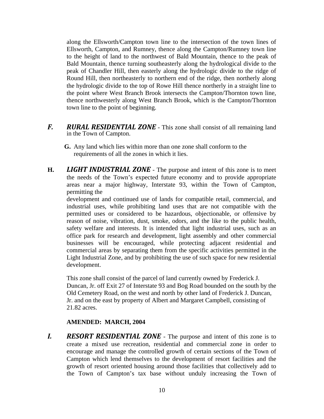along the Ellsworth/Campton town line to the intersection of the town lines of Ellsworth, Campton, and Rumney, thence along the Campton/Rumney town line to the height of land to the northwest of Bald Mountain, thence to the peak of Bald Mountain, thence turning southeasterly along the hydrological divide to the peak of Chandler Hill, then easterly along the hydrologic divide to the ridge of Round Hill, then northeasterly to northern end of the ridge, then northerly along the hydrologic divide to the top of Rowe Hill thence northerly in a straight line to the point where West Branch Brook intersects the Campton/Thornton town line, thence northwesterly along West Branch Brook, which is the Campton/Thornton town line to the point of beginning.

- *F. RURAL RESIDENTIAL ZONE* This zone shall consist of all remaining land in the Town of Campton.
	- **G.** Any land which lies within more than one zone shall conform to the requirements of all the zones in which it lies.
- **H.** *LIGHT INDUSTRIAL ZONE* The purpose and intent of this zone is to meet the needs of the Town's expected future economy and to provide appropriate areas near a major highway, Interstate 93, within the Town of Campton, permitting the

development and continued use of lands for compatible retail, commercial, and industrial uses, while prohibiting land uses that are not compatible with the permitted uses or considered to be hazardous, objectionable, or offensive by reason of noise, vibration, dust, smoke, odors, and the like to the public health, safety welfare and interests. It is intended that light industrial uses, such as an office park for research and development, light assembly and other commercial businesses will be encouraged, while protecting adjacent residential and commercial areas by separating them from the specific activities permitted in the Light Industrial Zone, and by prohibiting the use of such space for new residential development.

This zone shall consist of the parcel of land currently owned by Frederick J. Duncan, Jr. off Exit 27 of Interstate 93 and Bog Road bounded on the south by the Old Cemetery Road, on the west and north by other land of Frederick J. Duncan, Jr. and on the east by property of Albert and Margaret Campbell, consisting of 21.82 acres.

## **AMENDED: MARCH, 2004**

*I. RESORT RESIDENTIAL ZONE* - The purpose and intent of this zone is to create a mixed use recreation, residential and commercial zone in order to encourage and manage the controlled growth of certain sections of the Town of Campton which lend themselves to the development of resort facilities and the growth of resort oriented housing around those facilities that collectively add to the Town of Campton's tax base without unduly increasing the Town of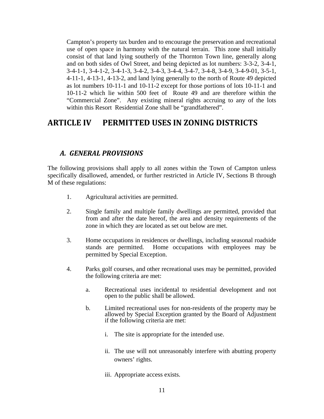Campton's property tax burden and to encourage the preservation and recreational use of open space in harmony with the natural terrain. This zone shall initially consist of that land lying southerly of the Thornton Town line, generally along and on both sides of Owl Street, and being depicted as lot numbers: 3-3-2, 3-4-1, 3-4-1-1, 3-4-1-2, 3-4-1-3, 3-4-2, 3-4-3, 3-4-4, 3-4-7, 3-4-8, 3-4-9, 3-4-9-01, 3-5-1, 4-11-1, 4-13-1, 4-13-2, and land lying generally to the north of Route 49 depicted as lot numbers 10-11-1 and 10-11-2 except for those portions of lots 10-11-1 and 10-11-2 which lie within 500 feet of Route 49 and are therefore within the "Commercial Zone". Any existing mineral rights accruing to any of the lots within this Resort Residential Zone shall be "grandfathered".

# **ARTICLE IV PERMITTED USES IN ZONING DISTRICTS**

## *A. GENERAL PROVISIONS*

The following provisions shall apply to all zones within the Town of Campton unless specifically disallowed, amended, or further restricted in Article IV, Sections B through M of these regulations:

- 1. Agricultural activities are permitted.
- 2. Single family and multiple family dwellings are permitted, provided that from and after the date hereof, the area and density requirements of the zone in which they are located as set out below are met.
- 3. Home occupations in residences or dwellings, including seasonal roadside stands are permitted. Home occupations with employees may be permitted by Special Exception.
- 4. Parks, golf courses, and other recreational uses may be permitted, provided the following criteria are met:
	- a. Recreational uses incidental to residential development and not open to the public shall be allowed.
	- b. Limited recreational uses for non-residents of the property may be allowed by Special Exception granted by the Board of Adjustment if the following criteria are met:
		- i. The site is appropriate for the intended use.
		- ii. The use will not unreasonably interfere with abutting property owners' rights.
		- iii. Appropriate access exists.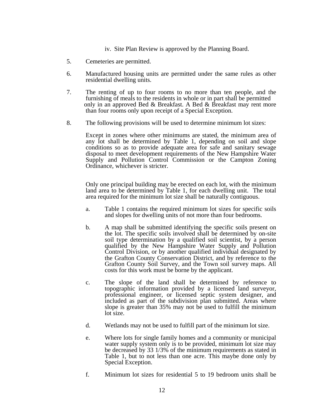- iv. Site Plan Review is approved by the Planning Board.
- 5. Cemeteries are permitted.
- 6. Manufactured housing units are permitted under the same rules as other residential dwelling units.
- 7. The renting of up to four rooms to no more than ten people, and the furnishing of meals to the residents in whole or in part shall be permitted only in an approved Bed & Breakfast. A Bed & Breakfast may rent more than four rooms only upon receipt of a Special Exception.
- 8. The following provisions will be used to determine minimum lot sizes:

Except in zones where other minimums are stated, the minimum area of any lot shall be determined by Table 1, depending on soil and slope conditions so as to provide adequate area for safe and sanitary sewage disposal to meet development requirements of the New Hampshire Water Supply and Pollution Control Commission or the Campton Zoning Ordinance, whichever is stricter.

Only one principal building may be erected on each lot, with the minimum land area to be determined by Table 1, for each dwelling unit. The total area required for the minimum lot size shall be naturally contiguous.

- a. Table 1 contains the required minimum lot sizes for specific soils and slopes for dwelling units of not more than four bedrooms.
- b. A map shall be submitted identifying the specific soils present on the lot. The specific soils involved shall be determined by on-site soil type determination by a qualified soil scientist, by a person qualified by the New Hampshire Water Supply and Pollution Control Division, or by another qualified individual designated by the Grafton County Conservation District, and by reference to the Grafton County Soil Survey, and the Town soil survey maps. All costs for this work must be borne by the applicant.
- c. The slope of the land shall be determined by reference to topographic information provided by a licensed land surveyor, professional engineer, or licensed septic system designer, and included as part of the subdivision plan submitted. Areas where slope is greater than 35% may not be used to fulfill the minimum lot size.
- d. Wetlands may not be used to fulfill part of the minimum lot size.
- e. Where lots for single family homes and a community or municipal water supply system only is to be provided, minimum lot size may be decreased by 33 1/3% of the minimum requirements as stated in Table 1, but to not less than one acre. This maybe done only by Special Exception.
- f. Minimum lot sizes for residential 5 to 19 bedroom units shall be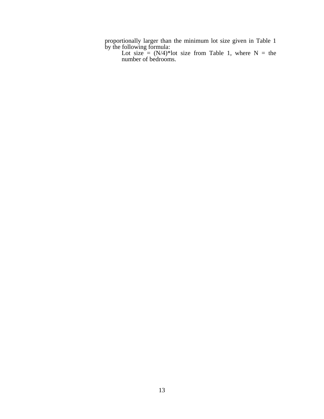proportionally larger than the minimum lot size given in Table 1 by the following formula:

Lot size =  $(N/4)^*$  lot size from Table 1, where N = the number of bedrooms.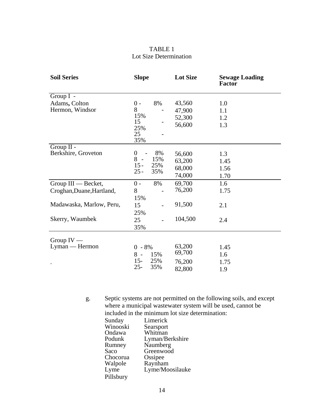## TABLE 1 Lot Size Determination

| <b>Soil Series</b>             | <b>Slope</b>     |            | <b>Lot Size</b> | <b>Sewage Loading</b><br><b>Factor</b> |
|--------------------------------|------------------|------------|-----------------|----------------------------------------|
| Group $I -$                    |                  |            |                 |                                        |
| Adams, Colton                  | $0 -$            | 8%         | 43,560          | 1.0                                    |
| Hermon, Windsor                | 8                |            | 47,900          | 1.1                                    |
|                                | 15%              |            | 52,300          | 1.2                                    |
|                                | 15<br>25%        |            | 56,600          | 1.3                                    |
|                                | 25               |            |                 |                                        |
|                                | 35%              |            |                 |                                        |
| Group II -                     |                  |            |                 |                                        |
| Berkshire, Groveton            | $\boldsymbol{0}$ | 8%         | 56,600          | 1.3                                    |
|                                | 8                | 15%        | 63,200          | 1.45                                   |
|                                | $15 -$<br>$25 -$ | 25%<br>35% | 68,000          | 1.56                                   |
|                                |                  |            | 74,000          | 1.70                                   |
| Group III — Becket,            | $0 -$            | 8%         | 69,700          | 1.6                                    |
| Croghan, Duane, Hartland,      | 8                |            | 76,200          | 1.75                                   |
|                                | 15%              |            |                 |                                        |
| Madawaska, Marlow, Peru,       | 15               |            | 91,500          | 2.1                                    |
|                                | 25%              |            |                 |                                        |
| Skerry, Waumbek                | 25               |            | 104,500         | 2.4                                    |
|                                | 35%              |            |                 |                                        |
|                                |                  |            |                 |                                        |
| Group $IV -$<br>Lyman — Hermon |                  |            | 63,200          |                                        |
|                                | $0 - 8%$         |            | 69,700          | 1.45                                   |
|                                | $8 -$<br>$15 -$  | 15%<br>25% |                 | 1.6                                    |
|                                | $25 -$           | 35%        | 76,200          | 1.75                                   |
|                                |                  |            | 82,800          | 1.9                                    |

g. Septic systems are not permitted on the following soils, and except where a municipal wastewater system will be used, cannot be included in the minimum lot size determination:

| Sunday    | Limerick        |
|-----------|-----------------|
| Winooski  | Searsport       |
| Ondawa    | Whitman         |
| Podunk    | Lyman/Berkshire |
| Rumney    | Naumberg        |
| Saco      | Greenwood       |
| Chocorua  | Ossipee         |
| Walpole   | Raynham         |
| Lyme      | Lyme/Moosilauke |
| Pillsbury |                 |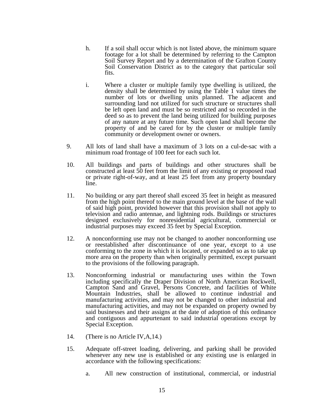- h. If a soil shall occur which is not listed above, the minimum square footage for a lot shall be determined by referring to the Campton Soil Survey Report and by a determination of the Grafton County Soil Conservation District as to the category that particular soil fits.
- i. Where a cluster or multiple family type dwelling is utilized, the density shall be determined by using the Table 1 value times the number of lots or dwelling units planned. The adjacent and surrounding land not utilized for such structure or structures shall be left open land and must be so restricted and so recorded in the deed so as to prevent the land being utilized for building purposes of any nature at any future time. Such open land shall become the property of and be cared for by the cluster or multiple family community or development owner or owners.
- 9. All lots of land shall have a maximum of 3 lots on a cul-de-sac with a minimum road frontage of 100 feet for each such lot.
- 10. All buildings and parts of buildings and other structures shall be constructed at least 50 feet from the limit of any existing or proposed road or private right-of-way, and at least 25 feet from any property boundary line.
- 11. No building or any part thereof shall exceed 35 feet in height as measured from the high point thereof to the main ground level at the base of the wall of said high point, provided however that this provision shall not apply to television and radio antennae, and lightning rods. Buildings or structures designed exclusively for nonresidential agricultural, commercial or industrial purposes may exceed 35 feet by Special Exception.
- 12. A nonconforming use may not be changed to another nonconforming use or reestablished after discontinuance of one year, except to a use conforming to the zone in which it is located, or expanded so as to take up more area on the property than when originally permitted, except pursuant to the provisions of the following paragraph.
- 13. Nonconforming industrial or manufacturing uses within the Town including specifically the Draper Division of North American Rockwell, Campton Sand and Gravel, Persons Concrete, and facilities of White Mountain Industries, shall be allowed to continue industrial and manufacturing activities, and may not be changed to other industrial and manufacturing activities, and may not be expanded on property owned by said businesses and their assigns at the date of adoption of this ordinance and contiguous and appurtenant to said industrial operations except by Special Exception.
- 14. (There is no Article IV,A,14.)
- 15. Adequate off-street loading, delivering, and parking shall be provided whenever any new use is established or any existing use is enlarged in accordance with the following specifications:
	- a. All new construction of institutional, commercial, or industrial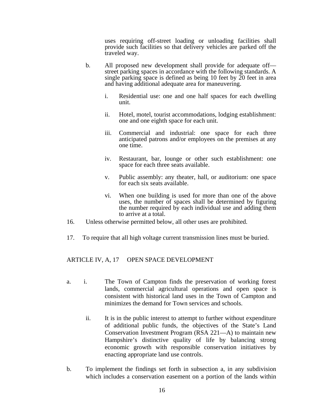uses requiring off-street loading or unloading facilities shall provide such facilities so that delivery vehicles are parked off the traveled way.

- b. All proposed new development shall provide for adequate off street parking spaces in accordance with the following standards. A single parking space is defined as being 10 feet by  $\tilde{20}$  feet in area and having additional adequate area for maneuvering.
	- i. Residential use: one and one half spaces for each dwelling unit.
	- ii. Hotel, motel, tourist accommodations, lodging establishment: one and one eighth space for each unit.
	- iii. Commercial and industrial: one space for each three anticipated patrons and/or employees on the premises at any one time.
	- iv. Restaurant, bar, lounge or other such establishment: one space for each three seats available.
	- v. Public assembly: any theater, hall, or auditorium: one space for each six seats available.
	- vi. When one building is used for more than one of the above uses, the number of spaces shall be determined by figuring the number required by each individual use and adding them to arrive at a total.
- 16. Unless otherwise permitted below, all other uses are prohibited.
- 17. To require that all high voltage current transmission lines must be buried.

#### ARTICLE IV, A, 17 OPEN SPACE DEVELOPMENT

- a. i. The Town of Campton finds the preservation of working forest lands, commercial agricultural operations and open space is consistent with historical land uses in the Town of Campton and minimizes the demand for Town services and schools.
	- ii. It is in the public interest to attempt to further without expenditure of additional public funds, the objectives of the State's Land Conservation Investment Program (RSA 221—A) to maintain new Hampshire's distinctive quality of life by balancing strong economic growth with responsible conservation initiatives by enacting appropriate land use controls.
- b. To implement the findings set forth in subsection a, in any subdivision which includes a conservation easement on a portion of the lands within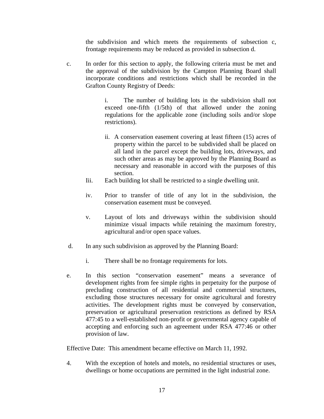the subdivision and which meets the requirements of subsection c, frontage requirements may be reduced as provided in subsection d.

c. In order for this section to apply, the following criteria must be met and the approval of the subdivision by the Campton Planning Board shall incorporate conditions and restrictions which shall be recorded in the Grafton County Registry of Deeds:

> i. The number of building lots in the subdivision shall not exceed one-fifth (1/5th) of that allowed under the zoning regulations for the applicable zone (including soils and/or slope restrictions).

- ii. A conservation easement covering at least fifteen (15) acres of property within the parcel to be subdivided shall be placed on all land in the parcel except the building lots, driveways, and such other areas as may be approved by the Planning Board as necessary and reasonable in accord with the purposes of this section.
- Iii. Each building lot shall be restricted to a single dwelling unit.
- iv. Prior to transfer of title of any lot in the subdivision, the conservation easement must be conveyed.
- v. Layout of lots and driveways within the subdivision should minimize visual impacts while retaining the maximum forestry, agricultural and/or open space values.
- d. In any such subdivision as approved by the Planning Board:
	- i. There shall be no frontage requirements for lots.
- e. In this section "conservation easement" means a severance of development rights from fee simple rights in perpetuity for the purpose of precluding construction of all residential and commercial structures, excluding those structures necessary for onsite agricultural and forestry activities. The development rights must be conveyed by conservation, preservation or agricultural preservation restrictions as defined by RSA 477:45 to a well-established non-profit or governmental agency capable of accepting and enforcing such an agreement under RSA 477:46 or other provision of law.

Effective Date: This amendment became effective on March 11, 1992.

4. With the exception of hotels and motels, no residential structures or uses, dwellings or home occupations are permitted in the light industrial zone.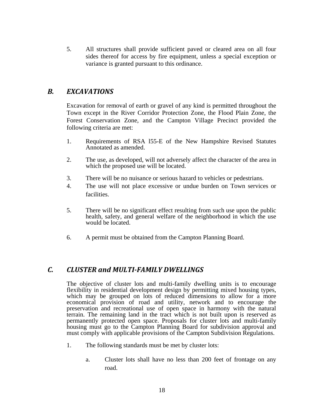5. All structures shall provide sufficient paved or cleared area on all four sides thereof for access by fire equipment, unless a special exception or variance is granted pursuant to this ordinance.

## *B. EXCAVATIONS*

Excavation for removal of earth or gravel of any kind is permitted throughout the Town except in the River Corridor Protection Zone, the Flood Plain Zone, the Forest Conservation Zone, and the Campton Village Precinct provided the following criteria are met:

- 1. Requirements of RSA l55-E of the New Hampshire Revised Statutes Annotated as amended.
- 2. The use, as developed, will not adversely affect the character of the area in which the proposed use will be located.
- 3. There will be no nuisance or serious hazard to vehicles or pedestrians.
- 4. The use will not place excessive or undue burden on Town services or facilities.
- 5. There will be no significant effect resulting from such use upon the public health, safety, and general welfare of the neighborhood in which the use would be located.
- 6. A permit must be obtained from the Campton Planning Board.

## *C. CLUSTER and MULTI‐FAMILY DWELLINGS*

The objective of cluster lots and multi-family dwelling units is to encourage flexibility in residential development design by permitting mixed housing types, which may be grouped on lots of reduced dimensions to allow for a more economical provision of road and utility, network and to encourage the preservation and recreational use of open space in harmony with the natural terrain. The remaining land in the tract which is not built upon is reserved as permanently protected open space. Proposals for cluster lots and multi-family housing must go to the Campton Planning Board for subdivision approval and must comply with applicable provisions of the Campton Subdivision Regulations.

- 1. The following standards must be met by cluster lots:
	- a. Cluster lots shall have no less than 200 feet of frontage on any road.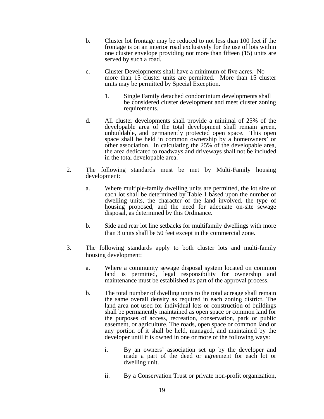- b. Cluster lot frontage may be reduced to not less than 100 feet if the frontage is on an interior road exclusively for the use of lots within one cluster envelope providing not more than fifteen (15) units are served by such a road.
- c. Cluster Developments shall have a minimum of five acres. No more than 15 cluster units are permitted. More than 15 cluster units may be permitted by Special Exception.
	- 1. Single Family detached condominium developments shall be considered cluster development and meet cluster zoning requirements.
- d. All cluster developments shall provide a minimal of 25% of the developable area of the total development shall remain green, unbuildable, and permanently protected open space. This open space shall be held in common ownership by a homeowners' or other association. In calculating the 25% of the developable area, the area dedicated to roadways and driveways shall not be included in the total developable area.
- 2. The following standards must be met by Multi-Family housing development:
	- a. Where multiple-family dwelling units are permitted, the lot size of each lot shall be determined by Table 1 based upon the number of dwelling units, the character of the land involved, the type of housing proposed, and the need for adequate on-site sewage disposal, as determined by this Ordinance.
	- b. Side and rear lot line setbacks for multifamily dwellings with more than 3 units shall be 50 feet except in the commercial zone.
- 3. The following standards apply to both cluster lots and multi-family housing development:
	- a. Where a community sewage disposal system located on common land is permitted, legal responsibility for ownership and maintenance must be established as part of the approval process.
	- b. The total number of dwelling units to the total acreage shall remain the same overall density as required in each zoning district. The land area not used for individual lots or construction of buildings shall be permanently maintained as open space or common land for the purposes of access, recreation, conservation, park or public easement, or agriculture. The roads, open space or common land or any portion of it shall be held, managed, and maintained by the developer until it is owned in one or more of the following ways:
		- i. By an owners' association set up by the developer and made a part of the deed or agreement for each lot or dwelling unit.
		- ii. By a Conservation Trust or private non-profit organization,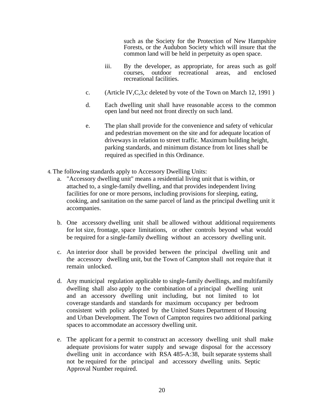such as the Society for the Protection of New Hampshire Forests, or the Audubon Society which will insure that the common land will be held in perpetuity as open space.

- iii. By the developer, as appropriate, for areas such as golf courses, outdoor recreational areas, and enclosed recreational facilities.
- c. (Article IV,C,3,c deleted by vote of the Town on March 12, 1991 )
- d. Each dwelling unit shall have reasonable access to the common open land but need not front directly on such land.
- e. The plan shall provide for the convenience and safety of vehicular and pedestrian movement on the site and for adequate location of driveways in relation to street traffic. Maximum building height, parking standards, and minimum distance from lot lines shall be required as specified in this Ordinance.
- 4. The following standards apply to Accessory Dwelling Units:
	- a. "Accessory dwelling unit" means a residential living unit that is within, or attached to, a single-family dwelling, and that provides independent living facilities for one or more persons, including provisions for sleeping, eating, cooking, and sanitation on the same parcel of land as the principal dwelling unit it accompanies.
	- b. One accessory dwelling unit shall be allowed without additional requirements for lot size, frontage, space limitations, or other controls beyond what would be required for a single-family dwelling without an accessory dwelling unit.
	- c. An interior door shall be provided between the principal dwelling unit and the accessory dwelling unit, but the Town of Campton shall not require that it remain unlocked.
	- d. Any municipal regulation applicable to single-family dwellings, and multifamily dwelling shall also apply to the combination of a principal dwelling unit and an accessory dwelling unit including, but not limited to lot coverage standards and standards for maximum occupancy per bedroom consistent with policy adopted by the United States Department of Housing and Urban Development. The Town of Campton requires two additional parking spaces to accommodate an accessory dwelling unit.
	- e. The applicant for a permit to construct an accessory dwelling unit shall make adequate provisions for water supply and sewage disposal for the accessory dwelling unit in accordance with RSA 485-A:38, built separate systems shall not be required for the principal and accessory dwelling units. Septic Approval Number required.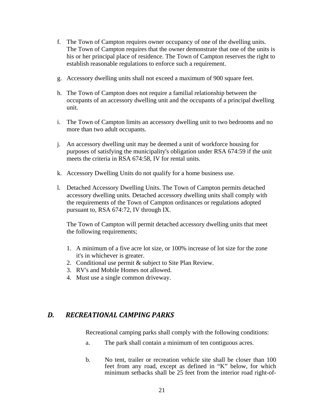- f. The Town of Campton requires owner occupancy of one of the dwelling units. The Town of Campton requires that the owner demonstrate that one of the units is his or her principal place of residence. The Town of Campton reserves the right to establish reasonable regulations to enforce such a requirement.
- g. Accessory dwelling units shall not exceed a maximum of 900 square feet.
- h. The Town of Campton does not require a familial relationship between the occupants of an accessory dwelling unit and the occupants of a principal dwelling unit.
- i. The Town of Campton limits an accessory dwelling unit to two bedrooms and no more than two adult occupants.
- j. An accessory dwelling unit may be deemed a unit of workforce housing for purposes of satisfying the municipality's obligation under RSA 674:59 if the unit meets the criteria in RSA 674:58, IV for rental units.
- k. Accessory Dwelling Units do not qualify for a home business use.
- l. Detached Accessory Dwelling Units. The Town of Campton permits detached accessory dwelling units. Detached accessory dwelling units shall comply with the requirements of the Town of Campton ordinances or regulations adopted pursuant to, RSA 674:72, IV through IX.

The Town of Campton will permit detached accessory dwelling units that meet the following requirements;

- 1. A minimum of a five acre lot size, or 100% increase of lot size for the zone it's in whichever is greater.
- 2. Conditional use permit & subject to Site Plan Review.
- 3. RV's and Mobile Homes not allowed.
- 4. Must use a single common driveway.

# *D. RECREATIONAL CAMPING PARKS*

Recreational camping parks shall comply with the following conditions:

- a. The park shall contain a minimum of ten contiguous acres.
- b. No tent, trailer or recreation vehicle site shall be closer than 100 feet from any road, except as defined in "K" below, for which minimum setbacks shall be 25 feet from the interior road right-of-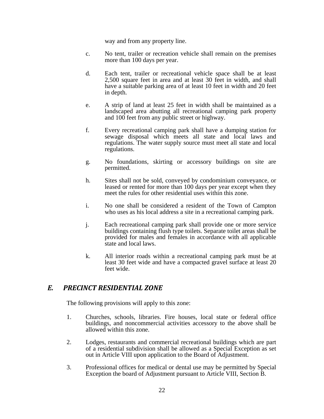way and from any property line.

- c. No tent, trailer or recreation vehicle shall remain on the premises more than 100 days per year.
- d. Each tent, trailer or recreational vehicle space shall be at least 2,500 square feet in area and at least 30 feet in width, and shall have a suitable parking area of at least 10 feet in width and 20 feet in depth.
- e. A strip of land at least 25 feet in width shall be maintained as a landscaped area abutting all recreational camping park property and 100 feet from any public street or highway.
- f. Every recreational camping park shall have a dumping station for sewage disposal which meets all state and local laws and regulations. The water supply source must meet all state and local regulations.
- g. No foundations, skirting or accessory buildings on site are permitted.
- h. Sites shall not be sold, conveyed by condominium conveyance, or leased or rented for more than 100 days per year except when they meet the rules for other residential uses within this zone.
- i. No one shall be considered a resident of the Town of Campton who uses as his local address a site in a recreational camping park.
- j. Each recreational camping park shall provide one or more service buildings containing flush type toilets. Separate toilet areas shall be provided for males and females in accordance with all applicable state and local laws.
- k. All interior roads within a recreational camping park must be at least 30 feet wide and have a compacted gravel surface at least 20 feet wide.

## *E. PRECINCT RESIDENTIAL ZONE*

The following provisions will apply to this zone:

- 1. Churches, schools, libraries. Fire houses, local state or federal office buildings, and noncommercial activities accessory to the above shall be allowed within this zone.
- 2. Lodges, restaurants and commercial recreational buildings which are part of a residential subdivision shall be allowed as a Special Exception as set out in Article VIII upon application to the Board of Adjustment.
- 3. Professional offices for medical or dental use may be permitted by Special Exception the board of Adjustment pursuant to Article VIII, Section B.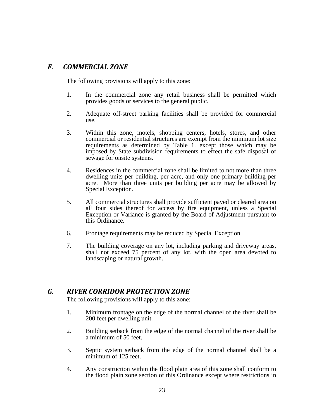## *F. COMMERCIAL ZONE*

The following provisions will apply to this zone:

- 1. In the commercial zone any retail business shall be permitted which provides goods or services to the general public.
- 2. Adequate off-street parking facilities shall be provided for commercial use.
- 3. Within this zone, motels, shopping centers, hotels, stores, and other commercial or residential structures are exempt from the minimum lot size requirements as determined by Table 1. except those which may be imposed by State subdivision requirements to effect the safe disposal of sewage for onsite systems.
- 4. Residences in the commercial zone shall be limited to not more than three dwelling units per building, per acre, and only one primary building per acre. More than three units per building per acre may be allowed by Special Exception.
- 5. All commercial structures shall provide sufficient paved or cleared area on all four sides thereof for access by fire equipment, unless a Special Exception or Variance is granted by the Board of Adjustment pursuant to this Ordinance.
- 6. Frontage requirements may be reduced by Special Exception.
- 7. The building coverage on any lot, including parking and driveway areas, shall not exceed 75 percent of any lot, with the open area devoted to landscaping or natural growth.

## *G. RIVER CORRIDOR PROTECTION ZONE*

The following provisions will apply to this zone:

- 1. Minimum frontage on the edge of the normal channel of the river shall be 200 feet per dwelling unit.
- 2. Building setback from the edge of the normal channel of the river shall be a minimum of 50 feet.
- 3. Septic system setback from the edge of the normal channel shall be a minimum of 125 feet.
- 4. Any construction within the flood plain area of this zone shall conform to the flood plain zone section of this Ordinance except where restrictions in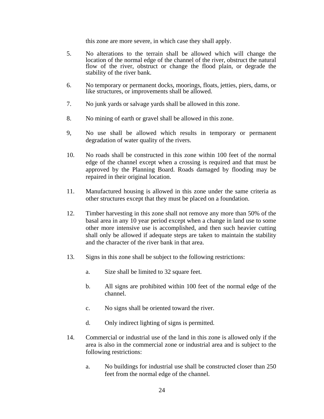this zone are more severe, in which case they shall apply.

- 5. No alterations to the terrain shall be allowed which will change the location of the normal edge of the channel of the river, obstruct the natural flow of the river, obstruct or change the flood plain, or degrade the stability of the river bank.
- 6. No temporary or permanent docks, moorings, floats, jetties, piers, dams, or like structures, or improvements shall be allowed.
- 7. No junk yards or salvage yards shall be allowed in this zone.
- 8. No mining of earth or gravel shall be allowed in this zone.
- 9, No use shall be allowed which results in temporary or permanent degradation of water quality of the rivers.
- 10. No roads shall be constructed in this zone within 100 feet of the normal edge of the channel except when a crossing is required and that must be approved by the Planning Board. Roads damaged by flooding may be repaired in their original location.
- 11. Manufactured housing is allowed in this zone under the same criteria as other structures except that they must be placed on a foundation.
- 12. Timber harvesting in this zone shall not remove any more than 50% of the basal area in any 10 year period except when a change in land use to some other more intensive use is accomplished, and then such heavier cutting shall only be allowed if adequate steps are taken to maintain the stability and the character of the river bank in that area.
- 13. Signs in this zone shall be subject to the following restrictions:
	- a. Size shall be limited to 32 square feet.
	- b. All signs are prohibited within 100 feet of the normal edge of the channel.
	- c. No signs shall be oriented toward the river.
	- d. Only indirect lighting of signs is permitted.
- 14. Commercial or industrial use of the land in this zone is allowed only if the area is also in the commercial zone or industrial area and is subject to the following restrictions:
	- a. No buildings for industrial use shall be constructed closer than 250 feet from the normal edge of the channel.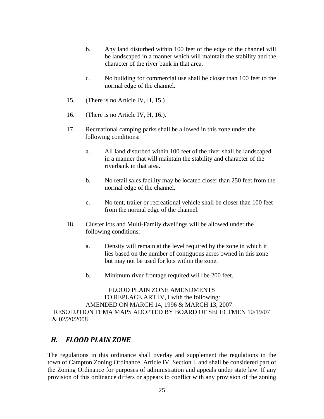- b. Any land disturbed within 100 feet of the edge of the channel will be landscaped in a manner which will maintain the stability and the character of the river bank in that area.
- c. No building for commercial use shall be closer than 100 feet to the normal edge of the channel.
- 15. (There is no Article IV, H, 15.)
- 16. (There is no Article IV, H, 16.).
- 17. Recreational camping parks shall be allowed in this zone under the following conditions:
	- a. All land disturbed within 100 feet of the river shall be landscaped in a manner that will maintain the stability and character of the riverbank in that area.
	- b. No retail sales facility may be located closer than 250 feet from the normal edge of the channel.
	- c. No tent, trailer or recreational vehicle shall be closer than 100 feet from the normal edge of the channel.
- 18. Cluster lots and Multi-Family dwellings will be allowed under the following conditions:
	- a. Density will remain at the level required by the zone in which it lies based on the number of contiguous acres owned in this zone but may not be used for lots within the zone.
	- b. Minimum river frontage required wi1l be 200 feet.

FLOOD PLAIN ZONE AMENDMENTS TO REPLACE ART IV, I with the following: AMENDED ON MARCH 14, 1996 & MARCH 13, 2007 RESOLUTION FEMA MAPS ADOPTED BY BOARD OF SELECTMEN 10/19/07 & 02/20/2008

# *H. FLOOD PLAIN ZONE*

The regulations in this ordinance shall overlay and supplement the regulations in the town of Campton Zoning Ordinance, Article IV, Section I, and shall be considered part of the Zoning Ordinance for purposes of administration and appeals under state law. If any provision of this ordinance differs or appears to conflict with any provision of the zoning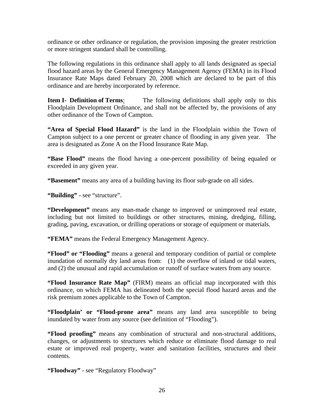ordinance or other ordinance or regulation, the provision imposing the greater restriction or more stringent standard shall be controlling.

The following regulations in this ordinance shall apply to all lands designated as special flood hazard areas by the General Emergency Management Agency (FEMA) in its Flood Insurance Rate Maps dated February 20, 2008 which are declared to be part of this ordinance and are hereby incorporated by reference.

**Item I- Definition of Terms:** The following definitions shall apply only to this Floodplain Development Ordinance, and shall not be affected by, the provisions of any other ordinance of the Town of Campton.

**"Area of Special Flood Hazard"** is the land in the Floodplain within the Town of Campton subject to a one percent or greater chance of flooding in any given year. The area is designated as Zone A on the Flood Insurance Rate Map.

**"Base Flood"** means the flood having a one-percent possibility of being equaled or exceeded in any given year.

**"Basement"** means any area of a building having its floor sub-grade on all sides.

**"Building"** - see "structure".

**"Development"** means any man-made change to improved or unimproved real estate, including but not limited to buildings or other structures, mining, dredging, filling, grading, paving, excavation, or drilling operations or storage of equipment or materials.

**"FEMA"** means the Federal Emergency Management Agency.

**"Flood" or "Flooding"** means a general and temporary condition of partial or complete inundation of normally dry land areas from: (1) the overflow of inland or tidal waters, and (2) the unusual and rapid accumulation or runoff of surface waters from any source.

**"Flood Insurance Rate Map"** (FIRM) means an official map incorporated with this ordinance, on which FEMA has delineated both the special flood hazard areas and the risk premium zones applicable to the Town of Campton.

**"Floodplain' or "Flood-prone area"** means any land area susceptible to being inundated by water from any source (see definition of "Flooding").

**"Flood proofing"** means any combination of structural and non-structural additions, changes, or adjustments to structures which reduce or eliminate flood damage to real estate or improved real property, water and sanitation facilities, structures and their contents.

**"Floodway"** - see "Regulatory Floodway"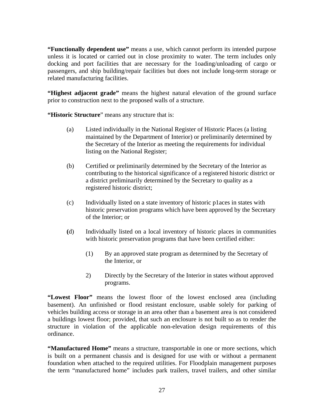**"Functionally dependent use"** means a use, which cannot perform its intended purpose unless it is located or carried out in close proximity to water. The term includes only docking and port facilities that are necessary for the 1oading/unloading of cargo or passengers, and ship building/repair facilities but does not include long-term storage or related manufacturing facilities.

**"Highest adjacent grade"** means the highest natural elevation of the ground surface prior to construction next to the proposed walls of a structure.

**"Historic Structure**" means any structure that is:

- (a) Listed individually in the National Register of Historic Places (a listing maintained by the Department of Interior) or preliminarily determined by the Secretary of the Interior as meeting the requirements for individual listing on the National Register;
- (b) Certified or preliminarily determined by the Secretary of the Interior as contributing to the historical significance of a registered historic district or a district preliminarily determined by the Secretary to quality as a registered historic district;
- (c) Individually listed on a state inventory of historic p1aces in states with historic preservation programs which have been approved by the Secretary of the Interior; or
- **(**d) Individually listed on a local inventory of historic places in communities with historic preservation programs that have been certified either:
	- (1) By an approved state program as determined by the Secretary of the Interior, or
	- 2) Directly by the Secretary of the Interior in states without approved programs.

**"Lowest Floor"** means the lowest floor of the lowest enclosed area (including basement). An unfinished or flood resistant enclosure, usable solely for parking of vehicles building access or storage in an area other than a basement area is not considered a buildings lowest floor; provided, that such an enclosure is not built so as to render the structure in violation of the applicable non-elevation design requirements of this ordinance.

**"Manufactured Home"** means a structure, transportable in one or more sections, which is built on a permanent chassis and is designed for use with or without a permanent foundation when attached to the required utilities. For Floodplain management purposes the term "manufactured home" includes park trailers, travel trailers, and other similar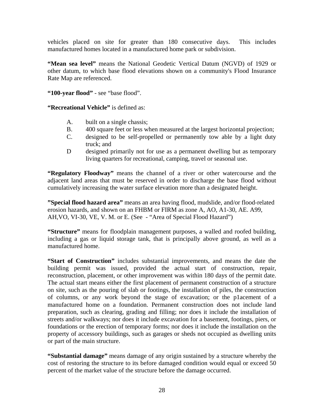vehicles placed on site for greater than 180 consecutive days. This includes manufactured homes located in a manufactured home park or subdivision.

**"Mean sea level"** means the National Geodetic Vertical Datum (NGVD) of 1929 or other datum, to which base flood elevations shown on a community's Flood Insurance Rate Map are referenced.

**"100-year flood"** - see "base flood".

**"Recreational Vehicle"** is defined as:

- A. built on a single chassis;
- B. 400 square feet or less when measured at the largest horizontal projection;
- C. designed to be self-propelled or permanently tow able by a light duty truck; and
- D designed primarily not for use as a permanent dwelling but as temporary living quarters for recreational, camping, travel or seasonal use.

**"Regulatory Floodway"** means the channel of a river or other watercourse and the adjacent land areas that must be reserved in order to discharge the base flood without cumulatively increasing the water surface elevation more than a designated height.

**"Special flood hazard area"** means an area having flood, mudslide, and/or flood-related erosion hazards, and shown on an FHBM or FIRM as zone A, AO, A1-30, AE. A99, AH, VO, VI-30, VE, V. M. or E. (See - "Area of Special Flood Hazard")

**"Structure"** means for floodplain management purposes, a walled and roofed building, including a gas or liquid storage tank, that is principally above ground, as well as a manufactured home.

**"Start of Construction"** includes substantial improvements, and means the date the building permit was issued, provided the actual start of construction, repair, reconstruction, placement, or other improvement was within 180 days of the permit date. The actual start means either the first placement of permanent construction of a structure on site, such as the pouring of slab or footings, the installation of piles, the construction of columns, or any work beyond the stage of excavation; or the p1acement of a manufactured home on a foundation. Permanent construction does not include land preparation, such as clearing, grading and filling; nor does it include the installation of streets and/or walkways; nor does it include excavation for a basement, footings, piers, or foundations or the erection of temporary forms; nor does it include the installation on the property of accessory buildings, such as garages or sheds not occupied as dwelling units or part of the main structure.

**"Substantial damage"** means damage of any origin sustained by a structure whereby the cost of restoring the structure to its before damaged condition would equal or exceed 50 percent of the market value of the structure before the damage occurred.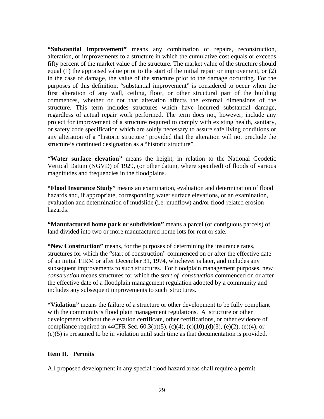**"Substantial Improvement"** means any combination of repairs, reconstruction, alteration, or improvements to a structure in which the cumulative cost equals or exceeds fifty percent of the market value of the structure. The market value of the structure should equal (1) the appraised value prior to the start of the initial repair or improvement, or (2) in the case of damage, the value of the structure prior to the damage occurring. For the purposes of this definition, "substantial improvement" is considered to occur when the first alteration of any wall, ceiling, floor, or other structural part of the building commences, whether or not that alteration affects the external dimensions of the structure. This term includes structures which have incurred substantial damage, regardless of actual repair work performed. The term does not, however, include any project for improvement of a structure required to comply with existing health, sanitary, or safety code specification which are solely necessary to assure safe living conditions or any alteration of a "historic structure" provided that the alteration will not preclude the structure's continued designation as a "historic structure".

**"Water surface elevation"** means the height, in relation to the National Geodetic Vertical Datum (NGVD) of 1929, (or other datum, where specified) of floods of various magnitudes and frequencies in the floodplains.

**"Flood Insurance Study"** means an examination, evaluation and determination of flood hazards and, if appropriate, corresponding water surface elevations, or an examination, evaluation and determination of mudslide (i.e. mudflow) and/or flood-related erosion hazards.

**"Manufactured home park or subdivision"** means a parcel (or contiguous parcels) of land divided into two or more manufactured home lots for rent or sale.

**"New Construction"** means, for the purposes of determining the insurance rates, structures for which the "start of construction" commenced on or after the effective date of an initial FIRM or after December 31, 1974, whichever is later, and includes any subsequent improvements to such structures. For floodplain management purposes, new *construction* means structures for which the *start of construction* commenced on or after the effective date of a floodplain management regulation adopted by a community and includes any subsequent improvements to such structures.

**"Violation"** means the failure of a structure or other development to be fully compliant with the community's flood plain management regulations. A structure or other development without the elevation certificate, other certifications, or other evidence of compliance required in 44CFR Sec.  $60.3(b)(5)$ ,  $(c)(4)$ ,  $(c)(10)$ , $(d)(3)$ ,  $(e)(2)$ ,  $(e)(4)$ , or (e)(5) is presumed to be in violation until such time as that documentation is provided.

#### **Item II. Permits**

All proposed development in any special flood hazard areas shall require a permit.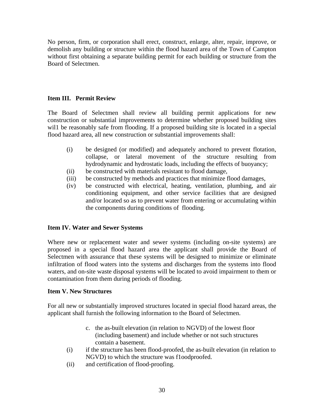No person, firm, or corporation shall erect, construct, enlarge, alter, repair, improve, or demolish any building or structure within the flood hazard area of the Town of Campton without first obtaining a separate building permit for each building or structure from the Board of Selectmen.

#### **Item III. Permit Review**

The Board of Selectmen shall review all building permit applications for new construction or substantial improvements to determine whether proposed building sites wil1 be reasonably safe from flooding. If a proposed building site is located in a special flood hazard area, all new construction or substantial improvements shall:

- (i) be designed (or modified) and adequately anchored to prevent flotation, collapse, or lateral movement of the structure resulting from hydrodynamic and hydrostatic loads, including the effects of buoyancy;
- (ii) be constructed with materials resistant to flood damage,
- (iii) be constructed by methods and practices that minimize flood damages,
- (iv) be constructed with electrical, heating, ventilation, plumbing, and air conditioning equipment, and other service facilities that are designed and/or located so as to prevent water from entering or accumulating within the components during conditions of flooding.

#### **Item IV. Water and Sewer Systems**

Where new or replacement water and sewer systems (including on-site systems) are proposed in a special flood hazard area the applicant shall provide the Board of Selectmen with assurance that these systems will be designed to minimize or eliminate infiltration of flood waters into the systems and discharges from the systems into flood waters, and on-site waste disposal systems will be located to avoid impairment to them or contamination from them during periods of flooding.

#### **Item V. New Structures**

For all new or substantially improved structures located in special flood hazard areas, the applicant shall furnish the following information to the Board of Selectmen.

- c. the as-built elevation (in relation to NGVD) of the lowest floor (including basement) and include whether or not such structures contain a basement.
- (i) if the structure has been flood-proofed, the as-built elevation (in relation to NGVD) to which the structure was f1oodproofed.
- (ii) and certification of flood-proofing.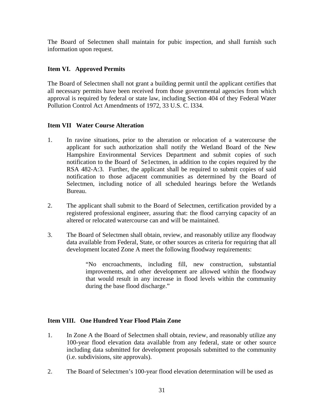The Board of Selectmen shall maintain for pubic inspection, and shall furnish such information upon request.

#### **Item VI. Approved Permits**

The Board of Selectmen shall not grant a building permit until the applicant certifies that all necessary permits have been received from those governmental agencies from which approval is required by federal or state law, including Section 404 of they Federal Water Pollution Control Act Amendments of 1972, 33 U.S. C. l334.

#### **Item VII Water Course Alteration**

- 1. In ravine situations, prior to the alteration or relocation of a watercourse the applicant for such authorization shall notify the Wetland Board of the New Hampshire Environmental Services Department and submit copies of such notification to the Board of Se1ectmen, in addition to the copies required by the RSA 482-A:3. Further, the applicant shall be required to submit copies of said notification to those adjacent communities as determined by the Board of Selectmen, including notice of all scheduled hearings before the Wetlands Bureau.
- 2. The applicant shall submit to the Board of Selectmen, certification provided by a registered professional engineer, assuring that: the flood carrying capacity of an altered or relocated watercourse can and will be maintained.
- 3. The Board of Selectmen shall obtain, review, and reasonably utilize any floodway data available from Federal, State, or other sources as criteria for requiring that all development located Zone A meet the following floodway requirements:

"No encroachments, including fill, new construction, substantial improvements, and other development are allowed within the floodway that would result in any increase in flood levels within the community during the base flood discharge."

## **Item VIII. One Hundred Year Flood Plain Zone**

- 1. In Zone A the Board of Selectmen shall obtain, review, and reasonably utilize any 100-year flood elevation data available from any federal, state or other source including data submitted for development proposals submitted to the community (i.e. subdivisions, site approvals).
- 2. The Board of Selectmen's 100-year flood elevation determination will be used as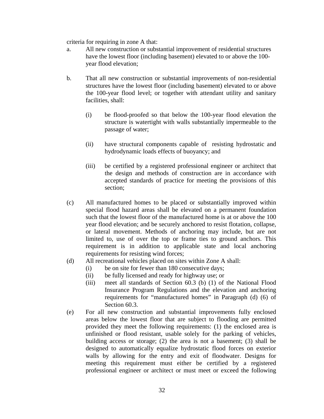criteria for requiring in zone A that:

- a. All new construction or substantial improvement of residential structures have the lowest floor (including basement) elevated to or above the 100 year flood elevation;
- b. That all new construction or substantial improvements of non-residential structures have the lowest floor (including basement) elevated to or above the 100-year flood level; or together with attendant utility and sanitary facilities, shall:
	- (i) be flood-proofed so that below the 100-year flood elevation the structure is watertight with walls substantially impermeable to the passage of water;
	- (ii)have structural components capable of resisting hydrostatic and hydrodynamic loads effects of buoyancy; and
	- (iii) be certified by a registered professional engineer or architect that the design and methods of construction are in accordance with accepted standards of practice for meeting the provisions of this section;
- (c) All manufactured homes to be placed or substantially improved within special flood hazard areas shall be elevated on a permanent foundation such that the lowest floor of the manufactured home is at or above the 100 year flood elevation; and be securely anchored to resist flotation, collapse, or lateral movement. Methods of anchoring may include, but are not limited to, use of over the top or frame ties to ground anchors. This requirement is in addition to applicable state and local anchoring requirements for resisting wind forces;
- (d) All recreational vehicles placed on sites within Zone A shall:
	- (i) be on site for fewer than 180 consecutive days;
	- (ii) be fully licensed and ready for highway use; or
	- (iii) meet all standards of Section 60.3 (b) (1) of the National Flood Insurance Program Regulations and the elevation and anchoring requirements for "manufactured homes" in Paragraph (d) (6) of Section 60.3.
- (e) For all new construction and substantial improvements fully enclosed areas below the lowest floor that are subject to flooding are permitted provided they meet the following requirements: (1) the enclosed area is unfinished or flood resistant, usable solely for the parking of vehicles, building access or storage; (2) the area is not a basement; (3) shall be designed to automatically equalize hydrostatic flood forces on exterior walls by allowing for the entry and exit of floodwater. Designs for meeting this requirement must either be certified by a registered professional engineer or architect or must meet or exceed the following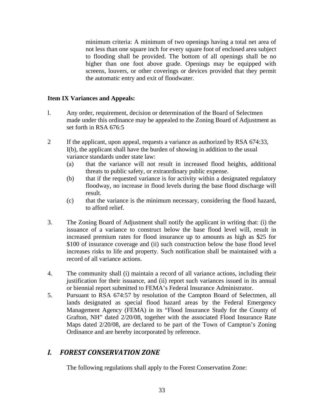minimum criteria: A minimum of two openings having a total net area of not less than one square inch for every square foot of enclosed area subject to flooding shall be provided. The bottom of all openings shall be no higher than one foot above grade. Openings may be equipped with screens, louvers, or other coverings or devices provided that they permit the automatic entry and exit of floodwater.

#### **Item IX Variances and Appeals:**

- l. Any order, requirement, decision or determination of the Board of Selectmen made under this ordinance may be appealed to the Zoning Board of Adjustment as set forth in RSA 676:5
- 2 If the applicant, upon appeal, requests a variance as authorized by RSA 674:33, I(b), the applicant shall have the burden of showing in addition to the usual variance standards under state law:
	- (a) that the variance will not result in increased flood heights, additional threats to public safety, or extraordinary public expense.
	- (b) that if the requested variance is for activity within a designated regulatory floodway, no increase in flood levels during the base flood discharge will result.
	- (c) that the variance is the minimum necessary, considering the flood hazard, to afford relief.
- 3. The Zoning Board of Adjustment shall notify the applicant in writing that: (i) the issuance of a variance to construct below the base flood level will, result in increased premium rates for flood insurance up to amounts as high as \$25 for \$100 of insurance coverage and (ii) such construction below the base flood level increases risks to life and property. Such notification shall be maintained with a record of all variance actions.
- 4. The community shall (i) maintain a record of all variance actions, including their justification for their issuance, and (ii) report such variances issued in its annual or biennial report submitted to FEMA's Federal Insurance Administrator.
- 5. Pursuant to RSA 674:57 by resolution of the Campton Board of Selectmen, all lands designated as special flood hazard areas by the Federal Emergency Management Agency (FEMA) in its "Flood Insurance Study for the County of Grafton, NH" dated 2/20/08, together with the associated Flood Insurance Rate Maps dated 2/20/08, are declared to be part of the Town of Campton's Zoning Ordinance and are hereby incorporated by reference.

## *I. FOREST CONSERVATION ZONE*

The following regulations shall apply to the Forest Conservation Zone: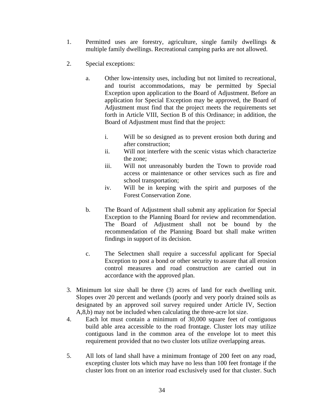- 1. Permitted uses are forestry, agriculture, single family dwellings & multiple family dwellings. Recreational camping parks are not allowed.
- 2. Special exceptions:
	- a. Other low-intensity uses, including but not limited to recreational, and tourist accommodations, may be permitted by Special Exception upon application to the Board of Adjustment. Before an application for Special Exception may be approved, the Board of Adjustment must find that the project meets the requirements set forth in Article VIII, Section B of this Ordinance; in addition, the Board of Adjustment must find that the project:
		- i. Will be so designed as to prevent erosion both during and after construction;
		- ii. Will not interfere with the scenic vistas which characterize the zone;
		- iii. Will not unreasonably burden the Town to provide road access or maintenance or other services such as fire and school transportation;
		- iv. Will be in keeping with the spirit and purposes of the Forest Conservation Zone.
	- b. The Board of Adjustment shall submit any application for Special Exception to the Planning Board for review and recommendation. The Board of Adjustment shall not be bound by the recommendation of the Planning Board but shall make written findings in support of its decision.
	- c. The Selectmen shall require a successful applicant for Special Exception to post a bond or other security to assure that all erosion control measures and road construction are carried out in accordance with the approved plan.
- 3. Minimum lot size shall be three (3) acres of land for each dwelling unit. Slopes over 20 percent and wetlands (poorly and very poorly drained soils as designated by an approved soil survey required under Article IV, Section A,8,b) may not be included when calculating the three-acre lot size.
- 4. Each lot must contain a minimum of 30,000 square feet of contiguous build able area accessible to the road frontage. Cluster lots may utilize contiguous land in the common area of the envelope lot to meet this requirement provided that no two cluster lots utilize overlapping areas.
- 5. All lots of land shall have a minimum frontage of 200 feet on any road, excepting cluster lots which may have no less than 100 feet frontage if the cluster lots front on an interior road exclusively used for that cluster. Such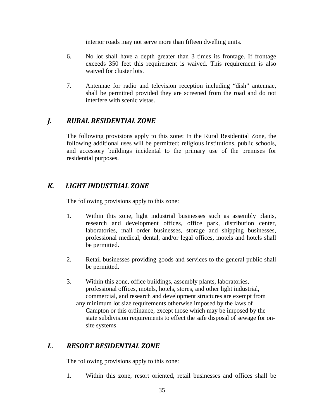interior roads may not serve more than fifteen dwelling units.

- 6. No lot shall have a depth greater than 3 times its frontage. If frontage exceeds 350 feet this requirement is waived. This requirement is also waived for cluster lots.
- 7. Antennae for radio and television reception including "dish" antennae, shall be permitted provided they are screened from the road and do not interfere with scenic vistas.

## *J. RURAL RESIDENTIAL ZONE*

The following provisions apply to this zone: In the Rural Residential Zone, the following additional uses will be permitted; religious institutions, public schools, and accessory buildings incidental to the primary use of the premises for residential purposes.

## *K. LIGHT INDUSTRIAL ZONE*

The following provisions apply to this zone:

- 1. Within this zone, light industrial businesses such as assembly plants, research and development offices, office park, distribution center, laboratories, mail order businesses, storage and shipping businesses, professional medical, dental, and/or legal offices, motels and hotels shall be permitted.
- 2. Retail businesses providing goods and services to the general public shall be permitted.
- 3. Within this zone, office buildings, assembly plants, laboratories, professional offices, motels, hotels, stores, and other light industrial, commercial, and research and development structures are exempt from any minimum lot size requirements otherwise imposed by the laws of Campton or this ordinance, except those which may be imposed by the state subdivision requirements to effect the safe disposal of sewage for on site systems

## *L. RESORT RESIDENTIAL ZONE*

The following provisions apply to this zone:

1. Within this zone, resort oriented, retail businesses and offices shall be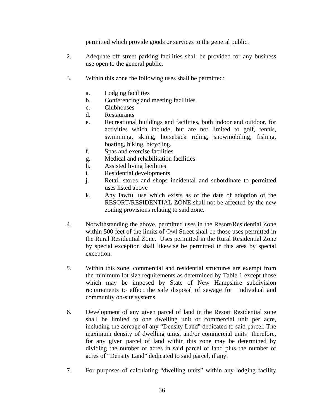permitted which provide goods or services to the general public.

- 2. Adequate off street parking facilities shall be provided for any business use open to the general public.
- 3. Within this zone the following uses shall be permitted:
	- a. Lodging facilities
	- b. Conferencing and meeting facilities
	- c. Clubhouses
	- d. Restaurants
	- e. Recreational buildings and facilities, both indoor and outdoor, for activities which include, but are not limited to golf, tennis, swimming, skiing, horseback riding, snowmobiling, fishing, boating, hiking, bicycling.
	- f. Spas and exercise facilities
	- g. Medical and rehabilitation facilities
	- h. Assisted living facilities
	- i. Residential developments
	- j. Retail stores and shops incidental and subordinate to permitted uses listed above
	- k. Any lawful use which exists as of the date of adoption of the RESORT/RESIDENTIAL ZONE shall not be affected by the new zoning provisions relating to said zone.
- 4. Notwithstanding the above, permitted uses in the Resort/Residential Zone within 500 feet of the limits of Owl Street shall be those uses permitted in the Rural Residential Zone. Uses permitted in the Rural Residential Zone by special exception shall likewise be permitted in this area by special exception.
- *5.* Within this zone, commercial and residential structures are exempt from the minimum lot size requirements as determined by Table 1 except those which may be imposed by State of New Hampshire subdivision requirements to effect the safe disposal of sewage for individual and community on-site systems.
- 6. Development of any given parcel of land in the Resort Residential zone shall be limited to one dwelling unit or commercial unit per acre, including the acreage of any "Density Land" dedicated to said parcel. The maximum density of dwelling units, and/or commercial units therefore, for any given parcel of land within this zone may be determined by dividing the number of acres in said parcel of land plus the number of acres of "Density Land" dedicated to said parcel, if any.
- 7. For purposes of calculating "dwelling units" within any lodging facility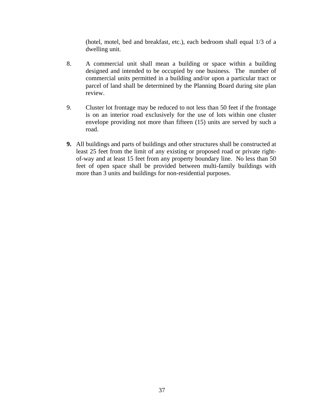(hotel, motel, bed and breakfast, etc.), each bedroom shall equal 1/3 of a dwelling unit.

- 8. A commercial unit shall mean a building or space within a building designed and intended to be occupied by one business. The number of commercial units permitted in a building and/or upon a particular tract or parcel of land shall be determined by the Planning Board during site plan review.
- 9. Cluster lot frontage may be reduced to not less than 50 feet if the frontage is on an interior road exclusively for the use of lots within one cluster envelope providing not more than fifteen (15) units are served by such a road.
- **9.** All buildings and parts of buildings and other structures shall be constructed at least 25 feet from the limit of any existing or proposed road or private rightof-way and at least 15 feet from any property boundary line. No less than 50 feet of open space shall be provided between multi-family buildings with more than 3 units and buildings for non-residential purposes.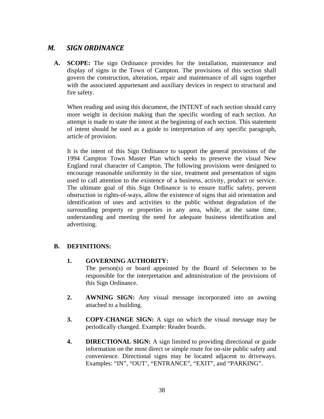## *M. SIGN ORDINANCE*

 **A. SCOPE:** The sign Ordinance provides for the installation, maintenance and display of signs in the Town of Campton. The provisions of this section shall govern the construction, alteration, repair and maintenance of all signs together with the associated appurtenant and auxiliary devices in respect to structural and fire safety.

When reading and using this document, the INTENT of each section should carry more weight in decision making than the specific wording of each section. An attempt is made to state the intent at the beginning of each section. This statement of intent should be used as a guide to interpretation of any specific paragraph, article of provision.

It is the intent of this Sign Ordinance to support the general provisions of the 1994 Campton Town Master Plan which seeks to preserve the visual New England rural character of Campton. The following provisions were designed to encourage reasonable uniformity in the size, treatment and presentation of signs used to call attention to the existence of a business, activity, product or service. The ultimate goal of this Sign Ordinance is to ensure traffic safety, prevent obstruction in rights-of-ways, allow the existence of signs that aid orientation and identification of uses and activities to the public without degradation of the surrounding property or properties in any area, while, at the same time, understanding and meeting the need for adequate business identification and advertising.

## **B. DEFINITIONS:**

**1. GOVERNING AUTHORITY:**

The person(s) or board appointed by the Board of Selectmen to be responsible for the interpretation and administration of the provisions of this Sign Ordinance.

- **2. AWNING SIGN:** Any visual message incorporated into an awning attached to a building.
- **3. COPY-CHANGE SIGN:** A sign on which the visual message may be periodically changed. Example: Reader boards.
- **4. DIRECTIONAL SIGN:** A sign limited to providing directional or guide information on the most direct or simple route for on-site public safety and convenience. Directional signs may be located adjacent to driveways. Examples: "IN", "OUT', "ENTRANCE", "EXIT", and "PARKING".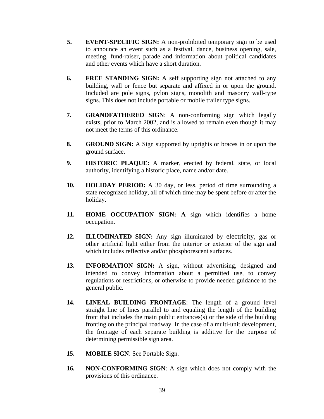- **5. EVENT-SPECIFIC SIGN:** A non-prohibited temporary sign to be used to announce an event such as a festival, dance, business opening, sale, meeting, fund-raiser, parade and information about political candidates and other events which have a short duration.
- **6. FREE STANDING SIGN:** A self supporting sign not attached to any building, wall or fence but separate and affixed in or upon the ground. Included are pole signs, pylon signs, monolith and masonry wall-type signs. This does not include portable or mobile trailer type signs.
- **7. GRANDFATHERED SIGN**: A non-conforming sign which legally exists, prior to March 2002, and is allowed to remain even though it may not meet the terms of this ordinance.
- **8. GROUND SIGN:** A Sign supported by uprights or braces in or upon the ground surface.
- **9. HISTORIC PLAQUE:** A marker, erected by federal, state, or local authority, identifying a historic place, name and/or date.
- **10. HOLIDAY PERIOD:** A 30 day, or less, period of time surrounding a state recognized holiday, all of which time may be spent before or after the holiday.
- **11. HOME OCCUPATION SIGN: A** sign which identifies a home occupation.
- **12. ILLUMINATED SIGN:** Any sign illuminated by electricity, gas or other artificial light either from the interior or exterior of the sign and which includes reflective and/or phosphorescent surfaces.
- 13. **INFORMATION SIGN:** A sign, without advertising, designed and intended to convey information about a permitted use, to convey regulations or restrictions, or otherwise to provide needed guidance to the general public.
- **14. LINEAL BUILDING FRONTAGE**: The length of a ground level straight line of lines parallel to and equaling the length of the building front that includes the main public entrances(s) or the side of the building fronting on the principal roadway. In the case of a multi-unit development, the frontage of each separate building is additive for the purpose of determining permissible sign area.
- **15. MOBILE SIGN**: See Portable Sign.
- **16. NON-CONFORMING SIGN**: A sign which does not comply with the provisions of this ordinance.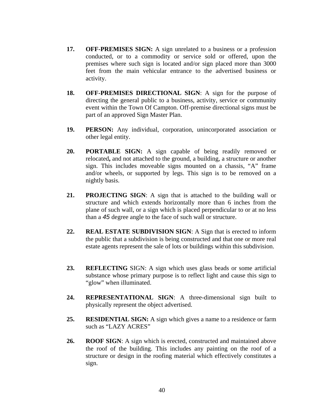- **17. OFF-PREMISES SIGN:** A sign unrelated to a business or a profession conducted, or to a commodity or service sold or offered, upon the premises where such sign is located and/or sign placed more than 3000 feet from the main vehicular entrance to the advertised business or activity.
- **18. OFF-PREMISES DIRECTIONAL SIGN**: A sign for the purpose of directing the general public to a business, activity, service or community event within the Town Of Campton. Off-premise directional signs must be part of an approved Sign Master Plan.
- **19. PERSON:** Any individual, corporation, unincorporated association or other legal entity.
- **20. PORTABLE SIGN:** A sign capable of being readily removed or relocated**,** and not attached to the ground, a building, a structure or another sign. This includes moveable signs mounted on a chassis, "A" frame and/or wheels, or supported by legs. This sign is to be removed on a nightly basis.
- **21. PROJECTING SIGN**: A sign that is attached to the building wall or structure and which extends horizontally more than 6 inches from the plane of such wall, or a sign which is placed perpendicular to or at no less than a *45* degree angle to the face of such wall or structure.
- **22. REAL ESTATE SUBDIVISION SIGN**: A Sign that is erected to inform the public that a subdivision is being constructed and that one or more real estate agents represent the sale of lots or buildings within this subdivision.
- **23. REFLECTING** SIGN: A sign which uses glass beads or some artificial substance whose primary purpose is to reflect light and cause this sign to "glow" when illuminated.
- **24. REPRESENTATIONAL SIGN**: A three-dimensional sign built to physically represent the object advertised.
- **25. RESIDENTIAL SIGN:** A sign which gives a name to a residence or farm such as "LAZY ACRES"
- **26. ROOF SIGN**: A sign which is erected, constructed and maintained above the roof of the building. This includes any painting on the roof of a structure or design in the roofing material which effectively constitutes a sign.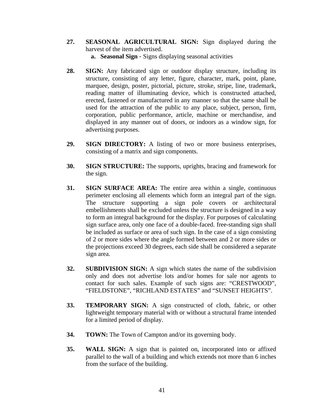- **27. SEASONAL AGRICULTURAL SIGN:** Sign displayed during the harvest of the item advertised.
	- **a. Seasonal Sign** Signs displaying seasonal activities
- 28. **SIGN:** Any fabricated sign or outdoor display structure, including its structure, consisting of any letter, figure, character, mark, point, plane, marquee, design, poster, pictorial, picture, stroke, stripe, line, trademark, reading matter of illuminating device, which is constructed attached, erected, fastened or manufactured in any manner so that the same shall be used for the attraction of the public to any place, subject, person, firm, corporation, public performance, article, machine or merchandise, and displayed in any manner out of doors, or indoors as a window sign, for advertising purposes.
- **29. SIGN DIRECTORY:** A listing of two or more business enterprises, consisting of a matrix and sign components.
- **30. SIGN STRUCTURE:** The supports, uprights, bracing and framework for the sign.
- **31. SIGN SURFACE AREA:** The entire area within a single, continuous perimeter enclosing all elements which form an integral part of the sign. The structure supporting a sign pole covers or architectural embellishments shall be excluded unless the structure is designed in a way to form an integral background for the display. For purposes of calculating sign surface area, only one face of a double-faced. free-standing sign shall be included as surface or area of such sign. In the case of a sign consisting of 2 or more sides where the angle formed between and 2 or more sides or the projections exceed 30 degrees, each side shall be considered a separate sign area.
- **32. SUBDIVISION SIGN:** A sign which states the name of the subdivision only and does not advertise lots and/or homes for sale nor agents to contact for such sales. Example of such signs are: "CRESTWOOD", "FIELDSTONE", "RICHLAND ESTATES" and "SUNSET HEIGHTS".
- **33. TEMPORARY SIGN:** A sign constructed of cloth, fabric, or other lightweight temporary material with or without a structural frame intended for a limited period of display.
- **34.** TOWN: The Town of Campton and/or its governing body.
- **35. WALL SIGN:** A sign that is painted on, incorporated into or affixed parallel to the wall of a building and which extends not more than 6 inches from the surface of the building.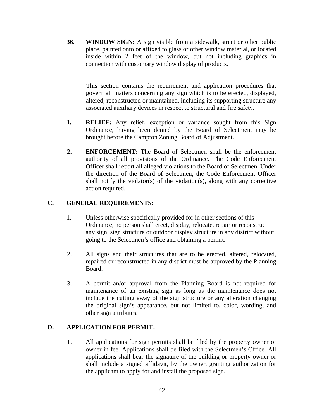**36. WINDOW SIGN:** A sign visible from a sidewalk, street or other public place, painted onto or affixed to glass or other window material, or located inside within 2 feet of the window, but not including graphics in connection with customary window display of products.

 This section contains the requirement and application procedures that govern all matters concerning any sign which is to be erected, displayed, altered, reconstructed or maintained, including its supporting structure any associated auxiliary devices in respect to structural and fire safety.

- 1. **RELIEF:** Any relief, exception or variance sought from this Sign Ordinance, having been denied by the Board of Selectmen, may be brought before the Campton Zoning Board of Adjustment.
- **2. ENFORCEMENT:** The Board of Selectmen shall be the enforcement authority of all provisions of the Ordinance. The Code Enforcement Officer shall report all alleged violations to the Board of Selectmen. Under the direction of the Board of Selectmen, the Code Enforcement Officer shall notify the violator(s) of the violation(s), along with any corrective action required.

## **C. GENERAL REQUIREMENTS:**

- 1. Unless otherwise specifically provided for in other sections of this Ordinance, no person shall erect, display, relocate, repair or reconstruct any sign, sign structure or outdoor display structure in any district without going to the Selectmen's office and obtaining a permit.
- 2. All signs and their structures that are to be erected, altered, relocated, repaired or reconstructed in any district must be approved by the Planning Board.
- 3. A permit an/or approval from the Planning Board is not required for maintenance of an existing sign as long as the maintenance does not include the cutting away of the sign structure or any alteration changing the original sign's appearance, but not limited to, color, wording, and other sign attributes.

## **D. APPLICATION FOR PERMIT:**

1. All applications for sign permits shall be filed by the property owner or owner in fee. Applications shall be filed with the Selectmen's Office. All applications shall bear the signature of the building or property owner or shall include a signed affidavit, by the owner, granting authorization for the applicant to apply for and install the proposed sign.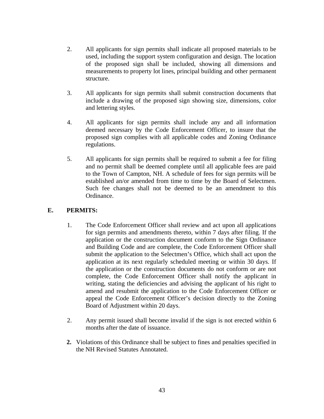- 2. All applicants for sign permits shall indicate all proposed materials to be used, including the support system configuration and design. The location of the proposed sign shall be included, showing all dimensions and measurements to property lot lines, principal building and other permanent structure.
- 3. All applicants for sign permits shall submit construction documents that include a drawing of the proposed sign showing size, dimensions, color and lettering styles.
- 4. All applicants for sign permits shall include any and all information deemed necessary by the Code Enforcement Officer, to insure that the proposed sign complies with all applicable codes and Zoning Ordinance regulations.
- 5. All applicants for sign permits shall be required to submit a fee for filing and no permit shall be deemed complete until all applicable fees are paid to the Town of Campton, NH. A schedule of fees for sign permits will be established an/or amended from time to time by the Board of Selectmen. Such fee changes shall not be deemed to be an amendment to this Ordinance.

## **E. PERMITS:**

- 1. The Code Enforcement Officer shall review and act upon all applications for sign permits and amendments thereto, within 7 days after filing. If the application or the construction document conform to the Sign Ordinance and Building Code and are complete, the Code Enforcement Officer shall submit the application to the Selectmen's Office, which shall act upon the application at its next regularly scheduled meeting or within 30 days. If the application or the construction documents do not conform or are not complete, the Code Enforcement Officer shall notify the applicant in writing, stating the deficiencies and advising the applicant of his right to amend and resubmit the application to the Code Enforcement Officer or appeal the Code Enforcement Officer's decision directly to the Zoning Board of Adjustment within 20 days.
- 2. Any permit issued shall become invalid if the sign is not erected within 6 months after the date of issuance.
- **2.** Violations of this Ordinance shall be subject to fines and penalties specified in the NH Revised Statutes Annotated.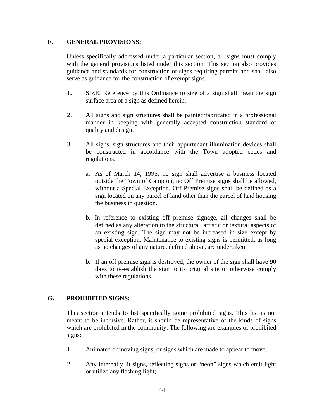#### **F. GENERAL PROVISIONS:**

Unless specifically addressed under a particular section, all signs must comply with the general provisions listed under this section. This section also provides guidance and standards for construction of signs requiring permits and shall also serve as guidance for the construction of exempt signs.

- 1**.** SIZE: Reference by this Ordinance to size of a sign shall mean the sign surface area of a sign as defined herein.
- 2. All signs and sign structures shall be painted/fabricated in a professional manner in keeping with generally accepted construction standard of quality and design.
- 3. All signs, sign structures and their appurtenant illumination devices shall be constructed in accordance with the Town adopted codes and regulations.
	- a. As of March 14, 1995, no sign shall advertise a business located outside the Town of Campton, no Off Premise signs shall be allowed, without a Special Exception. Off Premise signs shall be defined as a sign located on any parcel of land other than the parcel of land housing the business in question.
	- b. In reference to existing off premise signage, all changes shall be defined as any alteration to the structural, artistic or textural aspects of an existing sign. The sign may not be increased in size except by special exception. Maintenance to existing signs is permitted, as long as no changes of any nature, defined above, are undertaken.
	- b. If an off premise sign is destroyed, the owner of the sign shall have 90 days to re-establish the sign to its original site or otherwise comply with these regulations.

## **G. PROHIBITED SIGNS:**

This section intends to list specifically some prohibited signs. This list is not meant to be inclusive. Rather, it should be representative of the kinds of signs which are prohibited in the community. The following are examples of prohibited signs:

- 1. Animated or moving signs, or signs which are made to appear to move;
- 2. Any internally lit signs, reflecting signs or "neon" signs which emit light or utilize any flashing light;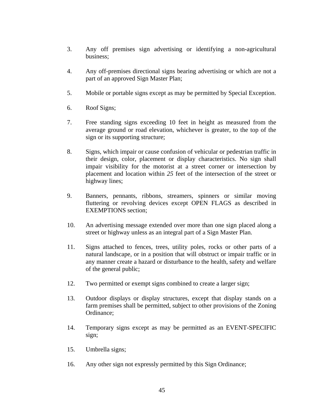- 3. Any off premises sign advertising or identifying a non-agricultural business;
- 4. Any off-premises directional signs bearing advertising or which are not a part of an approved Sign Master Plan;
- 5. Mobile or portable signs except as may be permitted by Special Exception.
- 6. Roof Signs;
- 7. Free standing signs exceeding 10 feet in height as measured from the average ground or road elevation, whichever is greater, to the top of the sign or its supporting structure;
- 8. Signs, which impair or cause confusion of vehicular or pedestrian traffic in their design, color, placement or display characteristics. No sign shall impair visibility for the motorist at a street corner or intersection by placement and location within *25* feet of the intersection of the street or highway lines;
- 9. Banners, pennants, ribbons, streamers, spinners or similar moving fluttering or revolving devices except OPEN FLAGS as described in EXEMPTIONS section;
- 10. An advertising message extended over more than one sign placed along a street or highway unless as an integral part of a Sign Master Plan.
- 11. Signs attached to fences, trees, utility poles, rocks or other parts of a natural landscape, or in a position that will obstruct or impair traffic or in any manner create a hazard or disturbance to the health, safety and welfare of the general public;
- 12. Two permitted or exempt signs combined to create a larger sign;
- 13. Outdoor displays or display structures, except that display stands on a farm premises shall be permitted, subject to other provisions of the Zoning Ordinance;
- 14. Temporary signs except as may be permitted as an EVENT-SPECIFIC sign;
- 15. Umbrella signs;
- 16. Any other sign not expressly permitted by this Sign Ordinance;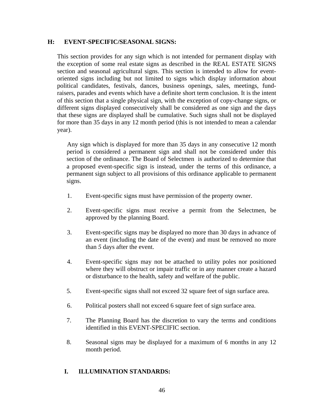#### **H: EVENT-SPECIFIC/SEASONAL SIGNS:**

This section provides for any sign which is not intended for permanent display with the exception of some real estate signs as described in the REAL ESTATE SIGNS section and seasonal agricultural signs. This section is intended to allow for eventoriented signs including but not limited to signs which display information about political candidates, festivals, dances, business openings, sales, meetings, fundraisers, parades and events which have a definite short term conclusion. It is the intent of this section that a single physical sign, with the exception of copy-change signs, or different signs displayed consecutively shall be considered as one sign and the days that these signs are displayed shall be cumulative. Such signs shall not be displayed for more than 35 days in any 12 month period (this is not intended to mean a calendar year).

Any sign which is displayed for more than 35 days in any consecutive 12 month period is considered a permanent sign and shall not be considered under this section of the ordinance. The Board of Selectmen is authorized to determine that a proposed event-specific sign is instead, under the terms of this ordinance, a permanent sign subject to all provisions of this ordinance applicable to permanent signs.

- 1. Event-specific signs must have permission of the property owner.
- 2. Event-specific signs must receive a permit from the Selectmen, be approved by the planning Board.
- 3. Event-specific signs may be displayed no more than 30 days in advance of an event (including the date of the event) and must be removed no more than *5* days after the event.
- 4. Event-specific signs may not be attached to utility poles nor positioned where they will obstruct or impair traffic or in any manner create a hazard or disturbance to the health, safety and welfare of the public.
- 5. Event-specific signs shall not exceed 32 square feet of sign surface area.
- 6. Political posters shall not exceed 6 square feet of sign surface area.
- 7. The Planning Board has the discretion to vary the terms and conditions identified in this EVENT-SPECIFIC section.
- 8. Seasonal signs may be displayed for a maximum of 6 months in any 12 month period.

#### **I. ILLUMINATION STANDARDS:**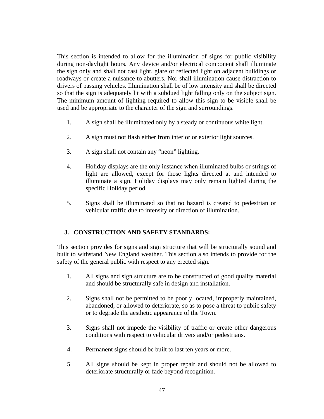This section is intended to allow for the illumination of signs for public visibility during non-daylight hours. Any device and/or electrical component shall illuminate the sign only and shall not cast light, glare or reflected light on adjacent buildings or roadways or create a nuisance to abutters. Nor shall illumination cause distraction to drivers of passing vehicles. Illumination shall be of low intensity and shall be directed so that the sign is adequately lit with a subdued light falling only on the subject sign. The minimum amount of lighting required to allow this sign to be visible shall be used and be appropriate to the character of the sign and surroundings.

- 1. A sign shall be illuminated only by a steady or continuous white light.
- 2. A sign must not flash either from interior or exterior light sources.
- 3. A sign shall not contain any "neon" lighting.
- 4. Holiday displays are the only instance when illuminated bulbs or strings of light are allowed, except for those lights directed at and intended to illuminate a sign. Holiday displays may only remain lighted during the specific Holiday period.
- 5. Signs shall be illuminated so that no hazard is created to pedestrian or vehicular traffic due to intensity or direction of illumination.

#### **J. CONSTRUCTION AND SAFETY STANDARDS:**

This section provides for signs and sign structure that will be structurally sound and built to withstand New England weather. This section also intends to provide for the safety of the general public with respect to any erected sign.

- 1. All signs and sign structure are to be constructed of good quality material and should be structurally safe in design and installation.
- 2. Signs shall not be permitted to be poorly located, improperly maintained, abandoned, or allowed to deteriorate, so as to pose a threat to public safety or to degrade the aesthetic appearance of the Town.
- 3. Signs shall not impede the visibility of traffic or create other dangerous conditions with respect to vehicular drivers and/or pedestrians.
- 4. Permanent signs should be built to last ten years or more.
- 5. All signs should be kept in proper repair and should not be allowed to deteriorate structurally or fade beyond recognition.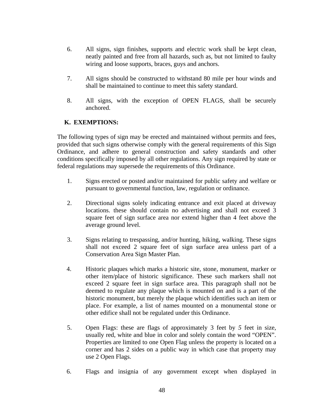- 6. All signs, sign finishes, supports and electric work shall be kept clean, neatly painted and free from all hazards, such as, but not limited to faulty wiring and loose supports, braces, guys and anchors.
- 7. All signs should be constructed to withstand 80 mile per hour winds and shall be maintained to continue to meet this safety standard.
- 8. All signs, with the exception of OPEN FLAGS, shall be securely anchored.

## **K. EXEMPTIONS:**

The following types of sign may be erected and maintained without permits and fees, provided that such signs otherwise comply with the general requirements of this Sign Ordinance, and adhere to general construction and safety standards and other conditions specifically imposed by all other regulations. Any sign required by state or federal regulations may supersede the requirements of this Ordinance.

- 1. Signs erected or posted and/or maintained for public safety and welfare or pursuant to governmental function, law, regulation or ordinance.
- 2. Directional signs solely indicating entrance and exit placed at driveway locations. these should contain no advertising and shall not exceed 3 square feet of sign surface area nor extend higher than 4 feet above the average ground level.
- 3. Signs relating to trespassing, and/or hunting, hiking, walking. These signs shall not exceed 2 square feet of sign surface area unless part of a Conservation Area Sign Master Plan.
- 4. Historic plaques which marks a historic site, stone, monument, marker or other item/place of historic significance. These such markers shall not exceed 2 square feet in sign surface area. This paragraph shall not be deemed to regulate any plaque which is mounted on and is a part of the historic monument, but merely the plaque which identifies such an item or place. For example, a list of names mounted on a monumental stone or other edifice shall not be regulated under this Ordinance.
- 5. Open Flags: these are flags of approximately 3 feet by *5* feet in size, usually red, white and blue in color and solely contain the word "OPEN". Properties are limited to one Open Flag unless the property is located on a corner and has 2 sides on a public way in which case that property may use 2 Open Flags.
- 6. Flags and insignia of any government except when displayed in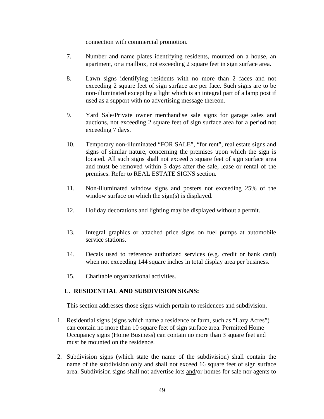connection with commercial promotion.

- 7. Number and name plates identifying residents, mounted on a house, an apartment, or a mailbox, not exceeding 2 square feet in sign surface area.
- 8. Lawn signs identifying residents with no more than 2 faces and not exceeding 2 square feet of sign surface are per face. Such signs are to be non-illuminated except by a light which is an integral part of a lamp post if used as a support with no advertising message thereon.
- 9. Yard Sale/Private owner merchandise sale signs for garage sales and auctions, not exceeding 2 square feet of sign surface area for a period not exceeding 7 days.
- 10. Temporary non-illuminated "FOR SALE", "for rent", real estate signs and signs of similar nature, concerning the premises upon which the sign is located. All such signs shall not exceed *5* square feet of sign surface area and must be removed within 3 days after the sale, lease or rental of the premises. Refer to REAL ESTATE SIGNS section.
- 11. Non-illuminated window signs and posters not exceeding 25% of the window surface on which the sign(s) is displayed.
- 12. Holiday decorations and lighting may be displayed without a permit.
- 13. Integral graphics or attached price signs on fuel pumps at automobile service stations.
- 14. Decals used to reference authorized services (e.g. credit or bank card) when not exceeding 144 square inches in total display area per business.
- 15. Charitable organizational activities.

## **L. RESIDENTIAL AND SUBDIVISION SIGNS:**

This section addresses those signs which pertain to residences and subdivision.

- 1. Residential signs (signs which name a residence or farm, such as "Lazy Acres") can contain no more than 10 square feet of sign surface area. Permitted Home Occupancy signs (Home Business) can contain no more than 3 square feet and must be mounted on the residence.
- 2. Subdivision signs (which state the name of the subdivision) shall contain the name of the subdivision only and shall not exceed 16 square feet of sign surface area. Subdivision signs shall not advertise lots and/or homes for sale nor agents to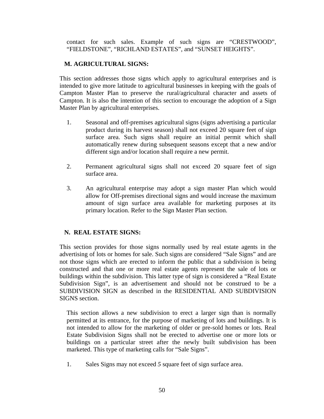contact for such sales. Example of such signs are "CRESTWOOD", "FIELDSTONE", "RICHLAND ESTATES", and "SUNSET HEIGHTS".

#### **M. AGRICULTURAL SIGNS:**

This section addresses those signs which apply to agricultural enterprises and is intended to give more latitude to agricultural businesses in keeping with the goals of Campton Master Plan to preserve the rural/agricultural character and assets of Campton. It is also the intention of this section to encourage the adoption of a Sign Master Plan by agricultural enterprises.

- 1. Seasonal and off-premises agricultural signs (signs advertising a particular product during its harvest season) shall not exceed 20 square feet of sign surface area. Such signs shall require an initial permit which shall automatically renew during subsequent seasons except that a new and/or different sign and/or location shall require a new permit.
- 2. Permanent agricultural signs shall not exceed 20 square feet of sign surface area.
- 3. An agricultural enterprise may adopt a sign master Plan which would allow for Off-premises directional signs and would increase the maximum amount of sign surface area available for marketing purposes at its primary location. Refer to the Sign Master Plan section.

## **N. REAL ESTATE SIGNS:**

This section provides for those signs normally used by real estate agents in the advertising of lots or homes for sale. Such signs are considered "Sale Signs" and are not those signs which are erected to inform the public that a subdivision is being constructed and that one or more real estate agents represent the sale of lots or buildings within the subdivision. This latter type of sign is considered a "Real Estate Subdivision Sign", is an advertisement and should not be construed to be a SUBDIVISION SIGN as described in the RESIDENTIAL AND SUBDIVISION SIGNS section.

This section allows a new subdivision to erect a larger sign than is normally permitted at its entrance, for the purpose of marketing of lots and buildings. It is not intended to allow for the marketing of older or pre-sold homes or lots. Real Estate Subdivision Signs shall not be erected to advertise one or more lots or buildings on a particular street after the newly built subdivision has been marketed. This type of marketing calls for "Sale Signs".

1. Sales Signs may not exceed *5* square feet of sign surface area.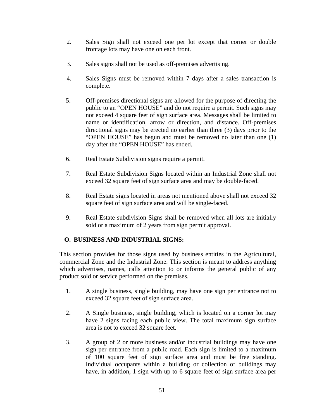- 2. Sales Sign shall not exceed one per lot except that corner or double frontage lots may have one on each front.
- 3. Sales signs shall not be used as off-premises advertising.
- 4. Sales Signs must be removed within 7 days after a sales transaction is complete.
- 5. Off-premises directional signs are allowed for the purpose of directing the public to an "OPEN HOUSE" and do not require a permit. Such signs may not exceed 4 square feet of sign surface area. Messages shall be limited to name or identification, arrow or direction, and distance. Off-premises directional signs may be erected no earlier than three (3) days prior to the "OPEN HOUSE" has begun and must be removed no later than one (1) day after the "OPEN HOUSE" has ended.
- 6. Real Estate Subdivision signs require a permit.
- 7. Real Estate Subdivision Signs located within an Industrial Zone shall not exceed 32 square feet of sign surface area and may be double-faced.
- 8. Real Estate signs located in areas not mentioned above shall not exceed 32 square feet of sign surface area and will be single-faced.
- 9. Real Estate subdivision Signs shall be removed when all lots are initially sold or a maximum of 2 years from sign permit approval.

## **O. BUSINESS AND INDUSTRIAL SIGNS:**

This section provides for those signs used by business entities in the Agricultural, commercial Zone and the Industrial Zone. This section is meant to address anything which advertises, names, calls attention to or informs the general public of any product sold or service performed on the premises.

- 1. A single business, single building, may have one sign per entrance not to exceed 32 square feet of sign surface area.
- 2. A Single business, single building, which is located on a corner lot may have 2 signs facing each public view. The total maximum sign surface area is not to exceed 32 square feet.
- 3. A group of 2 or more business and/or industrial buildings may have one sign per entrance from a public road. Each sign is limited to a maximum of 100 square feet of sign surface area and must be free standing. Individual occupants within a building or collection of buildings may have, in addition, 1 sign with up to 6 square feet of sign surface area per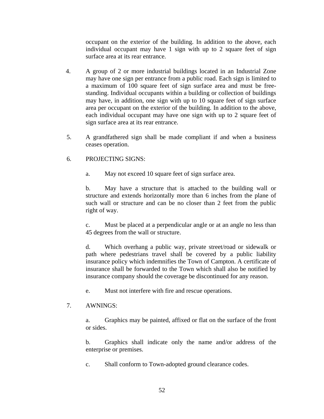occupant on the exterior of the building. In addition to the above, each individual occupant may have 1 sign with up to 2 square feet of sign surface area at its rear entrance.

- 4. A group of 2 or more industrial buildings located in an Industrial Zone may have one sign per entrance from a public road. Each sign is limited to a maximum of 100 square feet of sign surface area and must be freestanding. Individual occupants within a building or collection of buildings may have, in addition, one sign with up to 10 square feet of sign surface area per occupant on the exterior of the building. In addition to the above, each individual occupant may have one sign with up to 2 square feet of sign surface area at its rear entrance.
- 5. A grandfathered sign shall be made compliant if and when a business ceases operation.

## 6. PROJECTING SIGNS:

a. May not exceed 10 square feet of sign surface area.

 b. May have a structure that is attached to the building wall or structure and extends horizontally more than 6 inches from the plane of such wall or structure and can be no closer than 2 feet from the public right of way.

 c. Must be placed at a perpendicular angle or at an angle no less than 45 degrees from the wall or structure.

 d. Which overhang a public way, private street/road or sidewalk or path where pedestrians travel shall be covered by a public liability insurance policy which indemnifies the Town of Campton. A certificate of insurance shall be forwarded to the Town which shall also be notified by insurance company should the coverage be discontinued for any reason.

e. Must not interfere with fire and rescue operations.

## 7.AWNINGS:

 a. Graphics may be painted, affixed or flat on the surface of the front or sides.

 b. Graphics shall indicate only the name and/or address of the enterprise or premises.

c. Shall conform to Town-adopted ground clearance codes.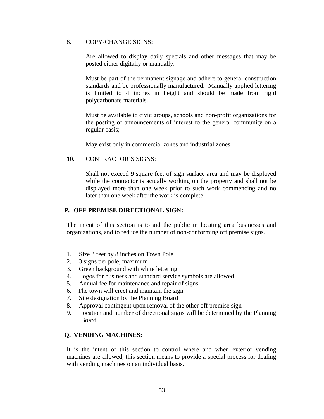#### 8. COPY-CHANGE SIGNS:

Are allowed to display daily specials and other messages that may be posted either digitally or manually.

Must be part of the permanent signage and adhere to general construction standards and be professionally manufactured. Manually applied lettering is limited to 4 inches in height and should be made from rigid polycarbonate materials.

Must be available to civic groups, schools and non-profit organizations for the posting of announcements of interest to the general community on a regular basis;

May exist only in commercial zones and industrial zones

#### **10.** CONTRACTOR'S SIGNS:

Shall not exceed 9 square feet of sign surface area and may be displayed while the contractor is actually working on the property and shall not be displayed more than one week prior to such work commencing and no later than one week after the work is complete.

## **P. OFF PREMISE DIRECTIONAL SIGN:**

 The intent of this section is to aid the public in locating area businesses and organizations, and to reduce the number of non-conforming off premise signs.

- 1. Size 3 feet by 8 inches on Town Pole
- 2. 3 signs per pole, maximum
- 3. Green background with white lettering
- 4. Logos for business and standard service symbols are allowed
- 5. Annual fee for maintenance and repair of signs
- 6. The town will erect and maintain the sign
- 7. Site designation by the Planning Board
- 8. Approval contingent upon removal of the other off premise sign
- 9. Location and number of directional signs will be determined by the Planning Board

## **Q. VENDING MACHINES:**

It is the intent of this section to control where and when exterior vending machines are allowed, this section means to provide a special process for dealing with vending machines on an individual basis.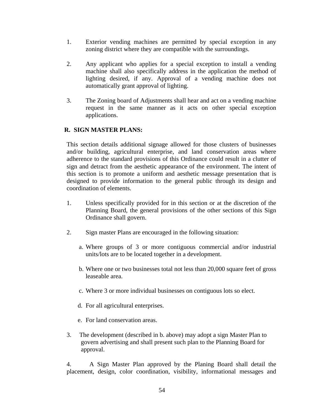- 1. Exterior vending machines are permitted by special exception in any zoning district where they are compatible with the surroundings.
- 2. Any applicant who applies for a special exception to install a vending machine shall also specifically address in the application the method of lighting desired, if any. Approval of a vending machine does not automatically grant approval of lighting.
- 3. The Zoning board of Adjustments shall hear and act on a vending machine request in the same manner as it acts on other special exception applications.

## **R. SIGN MASTER PLANS:**

This section details additional signage allowed for those clusters of businesses and/or building, agricultural enterprise, and land conservation areas where adherence to the standard provisions of this Ordinance could result in a clutter of sign and detract from the aesthetic appearance of the environment. The intent of this section is to promote a uniform and aesthetic message presentation that is designed to provide information to the general public through its design and coordination of elements.

- 1. Unless specifically provided for in this section or at the discretion of the Planning Board, the general provisions of the other sections of this Sign Ordinance shall govern.
- 2. Sign master Plans are encouraged in the following situation:
	- a. Where groups of 3 or more contiguous commercial and/or industrial units/lots are to be located together in a development.
	- b. Where one or two businesses total not less than 20,000 square feet of gross leaseable area.
	- c.Where 3 or more individual businesses on contiguous lots so elect.
	- d. For all agricultural enterprises.
	- e. For land conservation areas.
- 3. The development (described in b. above) may adopt a sign Master Plan to govern advertising and shall present such plan to the Planning Board for approval.

 4. A Sign Master Plan approved by the Planing Board shall detail the placement, design, color coordination, visibility, informational messages and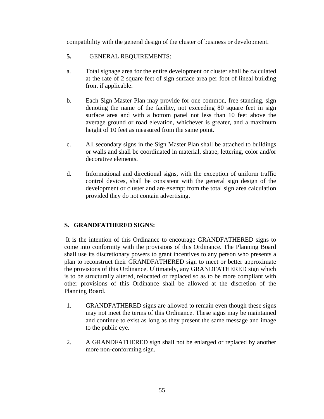compatibility with the general design of the cluster of business or development.

- **5.** GENERAL REQUIREMENTS:
- a. Total signage area for the entire development or cluster shall be calculated at the rate of 2 square feet of sign surface area per foot of lineal building front if applicable.
- b. Each Sign Master Plan may provide for one common, free standing, sign denoting the name of the facility, not exceeding 80 square feet in sign surface area and with a bottom panel not less than 10 feet above the average ground or road elevation, whichever is greater, and a maximum height of 10 feet as measured from the same point.
- c. All secondary signs in the Sign Master Plan shall be attached to buildings or walls and shall be coordinated in material, shape, lettering, color and/or decorative elements.
- d. Informational and directional signs, with the exception of uniform traffic control devices, shall be consistent with the general sign design of the development or cluster and are exempt from the total sign area calculation provided they do not contain advertising.

## **S. GRANDFATHERED SIGNS:**

 It is the intention of this Ordinance to encourage GRANDFATHERED signs to come into conformity with the provisions of this Ordinance. The Planning Board shall use its discretionary powers to grant incentives to any person who presents a plan to reconstruct their GRANDFATHERED sign to meet or better approximate the provisions of this Ordinance. Ultimately, any GRANDFATHERED sign which is to be structurally altered, relocated or replaced so as to be more compliant with other provisions of this Ordinance shall be allowed at the discretion of the Planning Board.

- 1. GRANDFATHERED signs are allowed to remain even though these signs may not meet the terms of this Ordinance. These signs may be maintained and continue to exist as long as they present the same message and image to the public eye.
- 2. A GRANDFATHERED sign shall not be enlarged or replaced by another more non-conforming sign.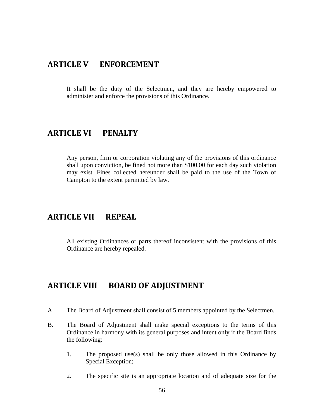## **ARTICLE V ENFORCEMENT**

It shall be the duty of the Selectmen, and they are hereby empowered to administer and enforce the provisions of this Ordinance.

# **ARTICLE VI PENALTY**

Any person, firm or corporation violating any of the provisions of this ordinance shall upon conviction, be fined not more than \$100.00 for each day such violation may exist. Fines collected hereunder shall be paid to the use of the Town of Campton to the extent permitted by law.

# **ARTICLE VII REPEAL**

All existing Ordinances or parts thereof inconsistent with the provisions of this Ordinance are hereby repealed.

# **ARTICLE VIII BOARD OF ADJUSTMENT**

- A. The Board of Adjustment shall consist of 5 members appointed by the Selectmen.
- B. The Board of Adjustment shall make special exceptions to the terms of this Ordinance in harmony with its general purposes and intent only if the Board finds the following:
	- 1. The proposed use(s) shall be only those allowed in this Ordinance by Special Exception;
	- 2. The specific site is an appropriate location and of adequate size for the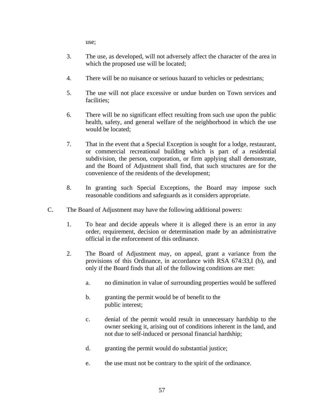use;

- 3. The use, as developed, will not adversely affect the character of the area in which the proposed use will be located;
- 4. There will be no nuisance or serious hazard to vehicles or pedestrians;
- 5. The use will not place excessive or undue burden on Town services and facilities;
- 6. There will be no significant effect resulting from such use upon the public health, safety, and general welfare of the neighborhood in which the use would be located;
- 7. That in the event that a Special Exception is sought for a lodge, restaurant, or commercial recreational building which is part of a residential subdivision, the person, corporation, or firm applying shall demonstrate, and the Board of Adjustment shall find, that such structures are for the convenience of the residents of the development;
- 8. In granting such Special Exceptions, the Board may impose such reasonable conditions and safeguards as it considers appropriate.
- C. The Board of Adjustment may have the following additional powers:
	- 1. To hear and decide appeals where it is alleged there is an error in any order, requirement, decision or determination made by an administrative official in the enforcement of this ordinance.
	- 2. The Board of Adjustment may, on appeal, grant a variance from the provisions of this Ordinance, in accordance with RSA 674:33,I (b), and only if the Board finds that all of the following conditions are met:
		- a. no diminution in value of surrounding properties would be suffered
		- b. granting the permit would be of benefit to the public interest;
		- c. denial of the permit would result in unnecessary hardship to the owner seeking it, arising out of conditions inherent in the land, and not due to self-induced or personal financial hardship;
		- d. granting the permit would do substantial justice;
		- e. the use must not be contrary to the spirit of the ordinance.